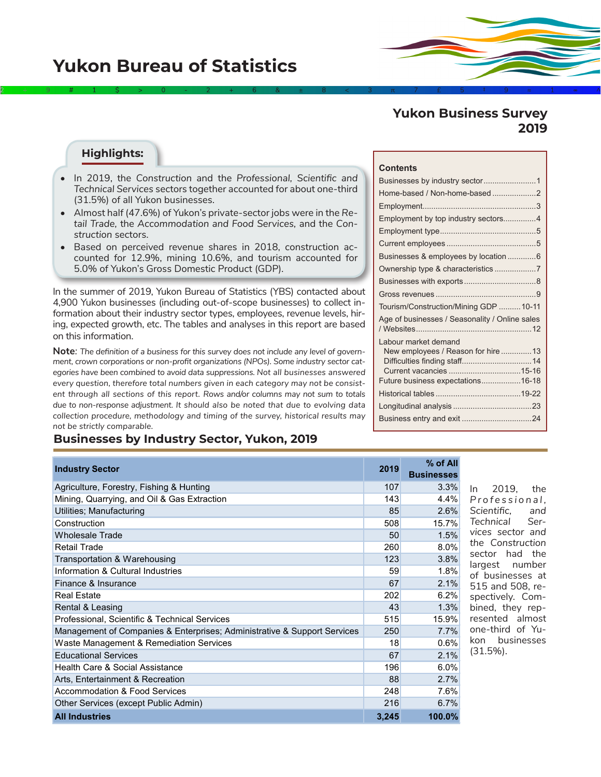# **Yukon Business Survey 2019**

#### **Highlights:**

• In 2019, the *Construction* and the *Professional, Scientific and Technical Services* sectors together accounted for about one-third (31.5%) of all Yukon businesses.

2÷9#1\$>0-2+6&±8<3π7£5‡9≈1∞^

- Almost half (47.6%) of Yukon's private-sector jobs were in the *Retail Trade,* the *Accommodation and Food Services,* and the *Construction* sectors.
- Based on perceived revenue shares in 2018, construction accounted for 12.9%, mining 10.6%, and tourism accounted for 5.0% of Yukon's Gross Domestic Product (GDP).

In the summer of 2019, Yukon Bureau of Statistics (YBS) contacted about 4,900 Yukon businesses (including out-of-scope businesses) to collect information about their industry sector types, employees, revenue levels, hiring, expected growth, etc. The tables and analyses in this report are based on this information.

**Note***: The definition of a business for this survey does not include any level of government, crown corporations or non-profit organizations (NPOs). Some industry sector categories have been combined to avoid data suppressions. Not all businesses answered every question, therefore total numbers given in each category may not be consistent through all sections of this report. Rows and/or columns may not sum to totals due to non-response adjustment. It should also be noted that due to evolving data collection procedure, methodology and timing of the survey, historical results may not be strictly comparable.* 

### **Businesses by Industry Sector, Yukon, 2019**

| <b>Industry Sector</b>                                                   | 2019  | % of All<br><b>Businesses</b> |
|--------------------------------------------------------------------------|-------|-------------------------------|
| Agriculture, Forestry, Fishing & Hunting                                 | 107   | 3.3%                          |
| Mining, Quarrying, and Oil & Gas Extraction                              | 143   | 4.4%                          |
| Utilities; Manufacturing                                                 | 85    | 2.6%                          |
| Construction                                                             | 508   | 15.7%                         |
| <b>Wholesale Trade</b>                                                   | 50    | 1.5%                          |
| <b>Retail Trade</b>                                                      | 260   | 8.0%                          |
| Transportation & Warehousing                                             | 123   | 3.8%                          |
| Information & Cultural Industries                                        | 59    | 1.8%                          |
| Finance & Insurance                                                      | 67    | 2.1%                          |
| <b>Real Estate</b>                                                       | 202   | 6.2%                          |
| Rental & Leasing                                                         | 43    | 1.3%                          |
| Professional, Scientific & Technical Services                            | 515   | 15.9%                         |
| Management of Companies & Enterprises; Administrative & Support Services | 250   | 7.7%                          |
| Waste Management & Remediation Services                                  | 18    | 0.6%                          |
| <b>Educational Services</b>                                              | 67    | 2.1%                          |
| Health Care & Social Assistance                                          | 196   | 6.0%                          |
| Arts, Entertainment & Recreation                                         | 88    | 2.7%                          |
| Accommodation & Food Services                                            | 248   | 7.6%                          |
| Other Services (except Public Admin)                                     | 216   | 6.7%                          |
| <b>All Industries</b>                                                    | 3.245 | 100.0%                        |

#### **Contents**

| Home-based / Non-home-based 2<br>Employment by top industry sectors4<br>Businesses & employees by location  6<br>Ownership type & characteristics7<br>Tourism/Construction/Mining GDP 10-11<br>Age of businesses / Seasonality / Online sales<br>Labour market demand<br>New employees / Reason for hire 13<br>Future business expectations16-18 |  |
|--------------------------------------------------------------------------------------------------------------------------------------------------------------------------------------------------------------------------------------------------------------------------------------------------------------------------------------------------|--|
|                                                                                                                                                                                                                                                                                                                                                  |  |
|                                                                                                                                                                                                                                                                                                                                                  |  |
|                                                                                                                                                                                                                                                                                                                                                  |  |
|                                                                                                                                                                                                                                                                                                                                                  |  |
|                                                                                                                                                                                                                                                                                                                                                  |  |
|                                                                                                                                                                                                                                                                                                                                                  |  |
|                                                                                                                                                                                                                                                                                                                                                  |  |
|                                                                                                                                                                                                                                                                                                                                                  |  |
|                                                                                                                                                                                                                                                                                                                                                  |  |
|                                                                                                                                                                                                                                                                                                                                                  |  |
|                                                                                                                                                                                                                                                                                                                                                  |  |
|                                                                                                                                                                                                                                                                                                                                                  |  |
|                                                                                                                                                                                                                                                                                                                                                  |  |
|                                                                                                                                                                                                                                                                                                                                                  |  |
|                                                                                                                                                                                                                                                                                                                                                  |  |
|                                                                                                                                                                                                                                                                                                                                                  |  |
|                                                                                                                                                                                                                                                                                                                                                  |  |
|                                                                                                                                                                                                                                                                                                                                                  |  |
|                                                                                                                                                                                                                                                                                                                                                  |  |

In 2019, the *P r o f e s s i o n a l , Scientific, and Technical Services sector and the Construction*  sector had the largest number of businesses at 515 and 508, respectively. Combined, they represented almost one-third of Yukon businesses (31.5%).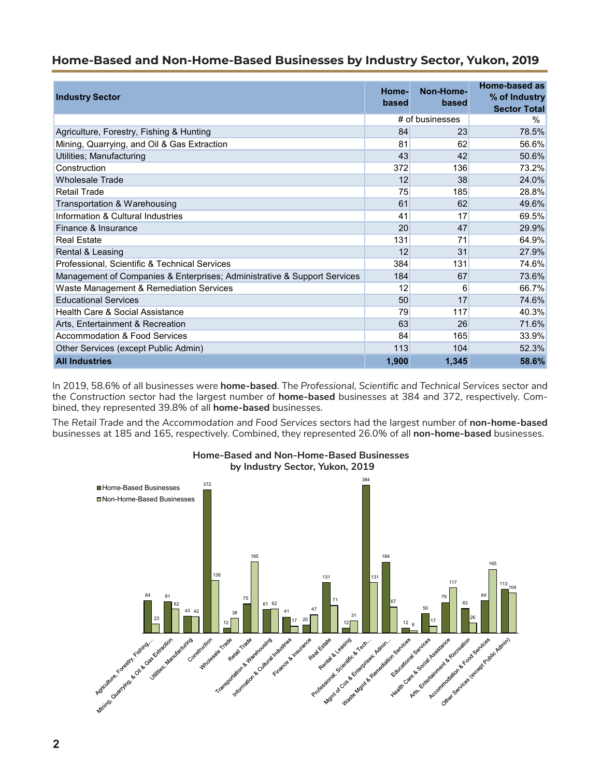## **Home-Based and Non-Home-Based Businesses by Industry Sector, Yukon, 2019**

| <b>Industry Sector</b>                                                   | Home-<br>based | Non-Home-<br>based | Home-based as<br>% of Industry<br><b>Sector Total</b> |
|--------------------------------------------------------------------------|----------------|--------------------|-------------------------------------------------------|
|                                                                          |                | # of businesses    | %                                                     |
| Agriculture, Forestry, Fishing & Hunting                                 | 84             | 23                 | 78.5%                                                 |
| Mining, Quarrying, and Oil & Gas Extraction                              | 81             | 62                 | 56.6%                                                 |
| Utilities; Manufacturing                                                 | 43             | 42                 | 50.6%                                                 |
| Construction                                                             | 372            | 136                | 73.2%                                                 |
| <b>Wholesale Trade</b>                                                   | 12             | 38                 | 24.0%                                                 |
| Retail Trade                                                             | 75             | 185                | 28.8%                                                 |
| Transportation & Warehousing                                             | 61             | 62                 | 49.6%                                                 |
| Information & Cultural Industries                                        | 41             | 17                 | 69.5%                                                 |
| Finance & Insurance                                                      | 20             | 47                 | 29.9%                                                 |
| <b>Real Estate</b>                                                       | 131            | 71                 | 64.9%                                                 |
| Rental & Leasing                                                         | 12             | 31                 | 27.9%                                                 |
| Professional, Scientific & Technical Services                            | 384            | 131                | 74.6%                                                 |
| Management of Companies & Enterprises; Administrative & Support Services | 184            | 67                 | 73.6%                                                 |
| Waste Management & Remediation Services                                  | 12             | 6                  | 66.7%                                                 |
| <b>Educational Services</b>                                              | 50             | 17                 | 74.6%                                                 |
| Health Care & Social Assistance                                          | 79             | 117                | 40.3%                                                 |
| Arts, Entertainment & Recreation                                         | 63             | 26                 | 71.6%                                                 |
| Accommodation & Food Services                                            | 84             | 165                | 33.9%                                                 |
| Other Services (except Public Admin)                                     | 113            | 104                | 52.3%                                                 |
| <b>All Industries</b>                                                    | 1,900          | 1,345              | 58.6%                                                 |

In 2019, 58.6% of all businesses were **home-based**. The *Professional, Scientific and Technical Services* sector and the *Construction* sector had the largest number of **home-based** businesses at 384 and 372, respectively. Combined, they represented 39.8% of all **home-based** businesses.

The *Retail Trade* and the *Accommodation and Food Services* sectors had the largest number of **non-home-based** businesses at 185 and 165, respectively. Combined, they represented 26.0% of all **non-home-based** businesses.



# **Home-Based and Non-Home-Based Businesses**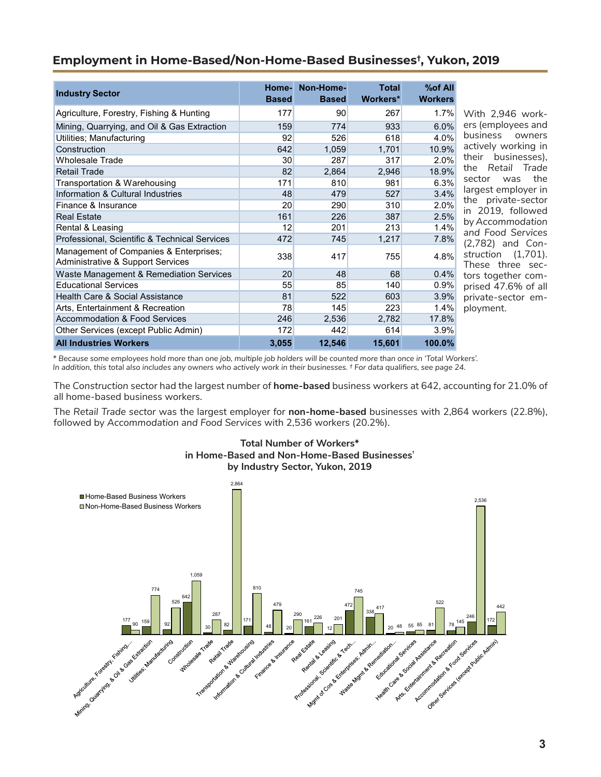## **Employment in Home-Based/Non-Home-Based Businesses† , Yukon, 2019**

| <b>Industry Sector</b>                                                      | <b>Based</b>    | Home- Non-Home-<br><b>Based</b> | <b>Total</b><br>Workers* | %of All<br><b>Workers</b> |
|-----------------------------------------------------------------------------|-----------------|---------------------------------|--------------------------|---------------------------|
| Agriculture, Forestry, Fishing & Hunting                                    | 177             | 90                              | 267                      | 1.7%                      |
| Mining, Quarrying, and Oil & Gas Extraction                                 | 159             | 774                             | 933                      | 6.0%                      |
| Utilities; Manufacturing                                                    | 92              | 526                             | 618                      | 4.0%                      |
| Construction                                                                | 642             | 1,059                           | 1,701                    | 10.9%                     |
| <b>Wholesale Trade</b>                                                      | 30 <sup>°</sup> | 287                             | 317                      | $2.0\%$                   |
| <b>Retail Trade</b>                                                         | 82              | 2,864                           | 2,946                    | 18.9%                     |
| Transportation & Warehousing                                                | 171             | 810                             | 981                      | 6.3%                      |
| Information & Cultural Industries                                           | 48              | 479                             | 527                      | 3.4%                      |
| Finance & Insurance                                                         | 20              | 290                             | 310                      | 2.0%                      |
| <b>Real Estate</b>                                                          | 161             | 226                             | 387                      | 2.5%                      |
| Rental & Leasing                                                            | 12              | 201                             | 213                      | 1.4%                      |
| Professional, Scientific & Technical Services                               | 472             | 745                             | 1,217                    | 7.8%                      |
| Management of Companies & Enterprises;<br>Administrative & Support Services | 338             | 417                             | 755                      | 4.8%                      |
| Waste Management & Remediation Services                                     | 20              | 48                              | 68                       | 0.4%                      |
| <b>Educational Services</b>                                                 | 55              | 85                              | 140                      | 0.9%                      |
| Health Care & Social Assistance                                             | 81              | 522                             | 603                      | 3.9%                      |
| Arts, Entertainment & Recreation                                            | 78              | 145                             | 223                      | 1.4%                      |
| <b>Accommodation &amp; Food Services</b>                                    | 246             | 2,536                           | 2,782                    | 17.8%                     |
| Other Services (except Public Admin)                                        | 172             | 442                             | 614                      | 3.9%                      |
| <b>All Industries Workers</b>                                               | 3,055           | 12,546                          | 15,601                   | 100.0%                    |

With 2,946 workers (employees and business owners ctively working in heir businesses), the *Retail Trade* sector was the argest employer in he private-sector n 2019, followed by *Accommodation and Food Services*  (2,782) and *Construction* (1,701). hese three secors together comprised 47.6% of all private-sector employment.

*\* Because some employees hold more than one job, multiple job holders will be counted more than once in 'Total Workers'. In addition, this total also includes any owners who actively work in their businesses. † For data qualifiers, see page 24.*

The *Construction* sector had the largest number of **home-based** business workers at 642, accounting for 21.0% of all home-based business workers.

The *Retail Trade sector* was the largest employer for **non-home-based** businesses with 2,864 workers (22.8%), followed by *Accommodation and Food Services* with 2,536 workers (20.2%).



**Total Number of Workers\* in Home-Based and Non-Home-Based Businesses†**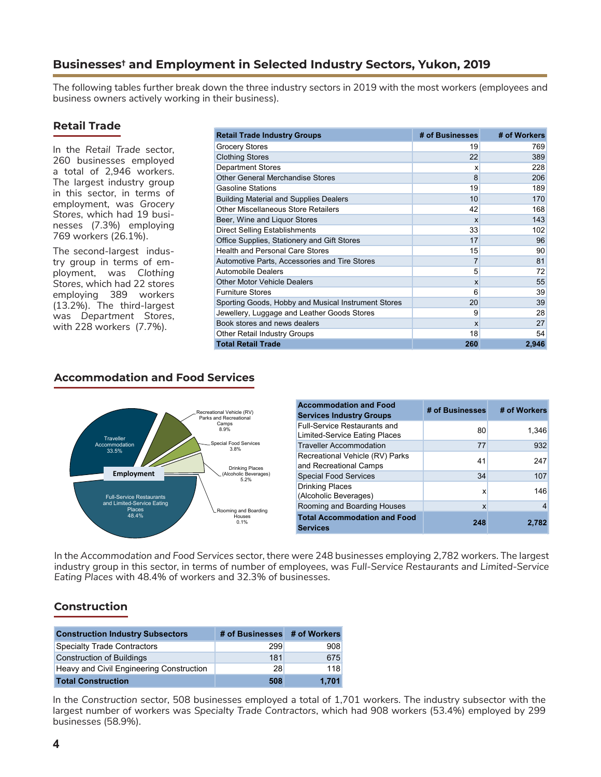## **Businesses† and Employment in Selected Industry Sectors, Yukon, 2019**

The following tables further break down the three industry sectors in 2019 with the most workers (employees and business owners actively working in their business).

## **Retail Trade**

In the *Retail Trade* sector, 260 businesses employed a total of 2,946 workers. The largest industry group in this sector, in terms of employment, was *Grocery Stores*, which had 19 businesses (7.3%) employing 769 workers (26.1%).

The second-largest industry group in terms of employment, was *Clothing Stores*, which had 22 stores employing 389 workers (13.2%). The third-largest was *Department Stores*, with 228 workers (7.7%).

| <b>Retail Trade Industry Groups</b>                 | # of Businesses           | # of Workers |
|-----------------------------------------------------|---------------------------|--------------|
| <b>Grocery Stores</b>                               | 19                        | 769          |
| <b>Clothing Stores</b>                              | 22                        | 389          |
| <b>Department Stores</b>                            | X                         | 228          |
| <b>Other General Merchandise Stores</b>             | 8                         | 206          |
| <b>Gasoline Stations</b>                            | 19                        | 189          |
| <b>Building Material and Supplies Dealers</b>       | 10                        | 170          |
| <b>Other Miscellaneous Store Retailers</b>          | 42                        | 168          |
| Beer, Wine and Liquor Stores                        | $\boldsymbol{\mathsf{x}}$ | 143          |
| Direct Selling Establishments                       | 33                        | 102          |
| Office Supplies, Stationery and Gift Stores         | 17                        | 96           |
| <b>Health and Personal Care Stores</b>              | 15                        | 90           |
| Automotive Parts, Accessories and Tire Stores       | $\overline{7}$            | 81           |
| <b>Automobile Dealers</b>                           | 5                         | 72           |
| <b>Other Motor Vehicle Dealers</b>                  | $\boldsymbol{\mathsf{x}}$ | 55           |
| <b>Furniture Stores</b>                             | 6                         | 39           |
| Sporting Goods, Hobby and Musical Instrument Stores | 20                        | 39           |
| Jewellery, Luggage and Leather Goods Stores         | 9                         | 28           |
| Book stores and news dealers                        | $\boldsymbol{\mathsf{x}}$ | 27           |
| <b>Other Retail Industry Groups</b>                 | 18                        | 54           |
| <b>Total Retail Trade</b>                           | 260                       | 2,946        |

#### **Accommodation and Food Services**



| <b>Accommodation and Food</b><br><b>Services Industry Groups</b>     | # of Businesses | # of Workers |
|----------------------------------------------------------------------|-----------------|--------------|
| <b>Full-Service Restaurants and</b><br>Limited-Service Eating Places | 80              | 1,346        |
| <b>Traveller Accommodation</b>                                       | 77              | 932          |
| Recreational Vehicle (RV) Parks<br>and Recreational Camps            | 41              | 247          |
| <b>Special Food Services</b>                                         | 34              | 107          |
| Drinking Places<br>(Alcoholic Beverages)                             | x               | 146          |
| Rooming and Boarding Houses                                          | X               |              |
| <b>Total Accommodation and Food</b><br><b>Services</b>               | 248             | 2.782        |

In the *Accommodation and Food Services* sector, there were 248 businesses employing 2,782 workers. The largest industry group in this sector, in terms of number of employees, was *Full-Service Restaurants and Limited-Service Eating Places* with 48.4% of workers and 32.3% of businesses.

## **Construction**

| <b>Construction Industry Subsectors</b>  | # of Businesses # of Workers |       |
|------------------------------------------|------------------------------|-------|
| <b>Specialty Trade Contractors</b>       | 299                          | 908   |
| <b>Construction of Buildings</b>         | 181                          | 675   |
| Heavy and Civil Engineering Construction | 28                           | 118   |
| <b>Total Construction</b>                | 508                          | 1.701 |

In the *Construction* sector, 508 businesses employed a total of 1,701 workers. The industry subsector with the largest number of workers was *Specialty Trade Contractors*, which had 908 workers (53.4%) employed by 299 businesses (58.9%).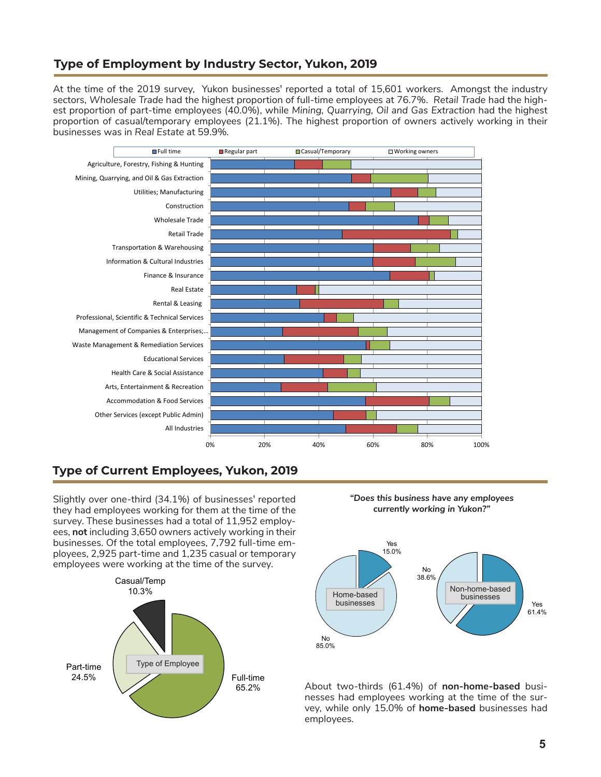## **Type of Employment by Industry Sector, Yukon, 2019**

At the time of the 2019 survey, Yukon businesses<sup>†</sup> reported a total of 15,601 workers. Amongst the industry sectors, *Wholesale Trade* had the highest proportion of full-time employees at 76.7%. *Retail Trade* had the highest proportion of part-time employees (40.0%), while *Mining, Quarrying, Oil and Gas Extraction* had the highest proportion of casual/temporary employees (21.1%). The highest proportion of owners actively working in their businesses was in *Real Estate* at 59.9%*.* 



## **Type of Current Employees, Yukon, 2019**

Slightly over one-third (34.1%) of businesses**†** reported they had employees working for them at the time of the survey. These businesses had a total of 11,952 employees, **not** including 3,650 owners actively working in their businesses. Of the total employees, 7,792 full-time employees, 2,925 part-time and 1,235 casual or temporary employees were working at the time of the survey.



*"Does this business have any employees currently working in Yukon?"*



About two-thirds (61.4%) of **non-home-based** businesses had employees working at the time of the survey, while only 15.0% of **home-based** businesses had employees.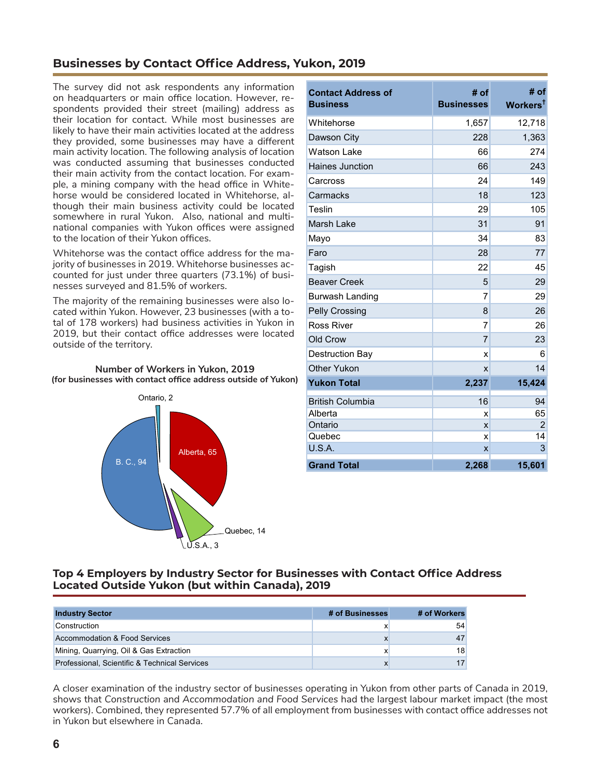## **Businesses by Contact Office Address, Yukon, 2019**

The survey did not ask respondents any information on headquarters or main office location. However, respondents provided their street (mailing) address as their location for contact. While most businesses are likely to have their main activities located at the address they provided, some businesses may have a different main activity location. The following analysis of location was conducted assuming that businesses conducted their main activity from the contact location. For example, a mining company with the head office in Whitehorse would be considered located in Whitehorse, although their main business activity could be located somewhere in rural Yukon. Also, national and multinational companies with Yukon offices were assigned to the location of their Yukon offices.

Whitehorse was the contact office address for the majority of businesses in 2019. Whitehorse businesses accounted for just under three quarters (73.1%) of businesses surveyed and 81.5% of workers.

The majority of the remaining businesses were also located within Yukon. However, 23 businesses (with a total of 178 workers) had business activities in Yukon in 2019, but their contact office addresses were located outside of the territory.



B. C., 94

**Number of Workers in Yukon, 2019**

| <b>Contact Address of</b><br><b>Business</b> | # of<br><b>Businesses</b> | $#$ of<br>Workers <sup>t</sup> |
|----------------------------------------------|---------------------------|--------------------------------|
| Whitehorse                                   | 1,657                     | 12,718                         |
| Dawson City                                  | 228                       | 1,363                          |
| <b>Watson Lake</b>                           | 66                        | 274                            |
| <b>Haines Junction</b>                       | 66                        | 243                            |
| Carcross                                     | 24                        | 149                            |
| Carmacks                                     | 18                        | 123                            |
| <b>Teslin</b>                                | 29                        | 105                            |
| Marsh Lake                                   | 31                        | 91                             |
| Mayo                                         | 34                        | 83                             |
| Faro                                         | 28                        | 77                             |
| Tagish                                       | 22                        | 45                             |
| <b>Beaver Creek</b>                          | 5                         | 29                             |
| Burwash Landing                              | 7                         | 29                             |
| <b>Pelly Crossing</b>                        | 8                         | 26                             |
| <b>Ross River</b>                            | $\overline{7}$            | 26                             |
| Old Crow                                     | $\overline{7}$            | 23                             |
| <b>Destruction Bay</b>                       | X                         | 6                              |
| Other Yukon                                  | X                         | 14                             |
| <b>Yukon Total</b>                           | 2,237                     | 15,424                         |
| <b>British Columbia</b>                      | 16                        | 94                             |
| Alberta                                      | X                         | 65                             |
| Ontario                                      | X                         | $\overline{2}$                 |
| Quebec                                       | X                         | 14                             |
| U.S.A.                                       | X                         | 3                              |
| <b>Grand Total</b>                           | 2,268                     | 15,601                         |

Alberta, 65

U.S.A., 3

## **Top 4 Employers by Industry Sector for Businesses with Contact Office Address Located Outside Yukon (but within Canada), 2019**

| <b>Industry Sector</b>                        | # of Businesses | # of Workers    |
|-----------------------------------------------|-----------------|-----------------|
| Construction                                  |                 | 54              |
| <b>Accommodation &amp; Food Services</b>      | X               | 47              |
| Mining, Quarrying, Oil & Gas Extraction       | x               | 18 <sup>1</sup> |
| Professional, Scientific & Technical Services | x               | 17              |

Quebec, 14

A closer examination of the industry sector of businesses operating in Yukon from other parts of Canada in 2019, shows that *Construction* and *Accommodation and Food Services* had the largest labour market impact (the most workers). Combined, they represented 57.7% of all employment from businesses with contact office addresses not in Yukon but elsewhere in Canada.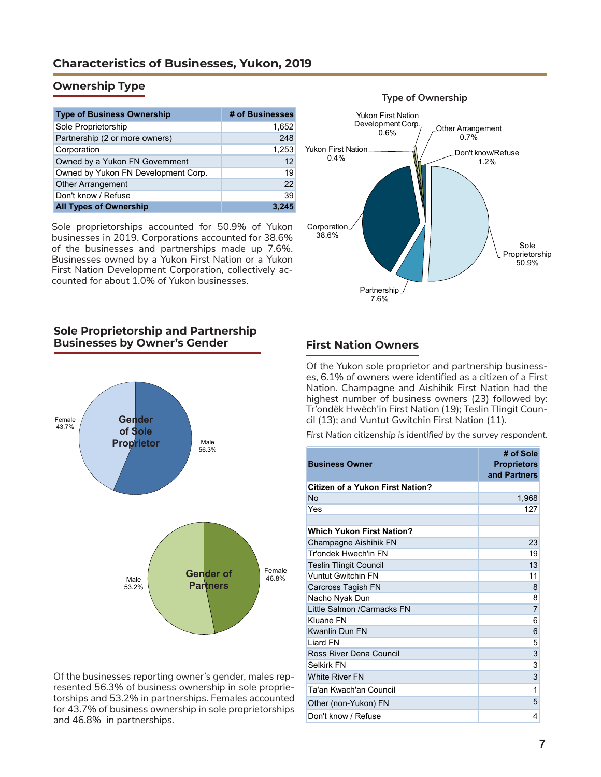## **Characteristics of Businesses, Yukon, 2019**

## **Ownership Type**

| <b>Type of Business Ownership</b>   | # of Businesses |
|-------------------------------------|-----------------|
| Sole Proprietorship                 | 1,652           |
| Partnership (2 or more owners)      | 248             |
| Corporation                         | 1,253           |
| Owned by a Yukon FN Government      | 12              |
| Owned by Yukon FN Development Corp. | 19              |
| <b>Other Arrangement</b>            | 22              |
| Don't know / Refuse                 | 39              |
| <b>All Types of Ownership</b>       |                 |

Sole proprietorships accounted for 50.9% of Yukon businesses in 2019. Corporations accounted for 38.6% of the businesses and partnerships made up 7.6%. Businesses owned by a Yukon First Nation or a Yukon First Nation Development Corporation, collectively accounted for about 1.0% of Yukon businesses.

## Sole Proprietorship 50.9% Partnership 7.6% Corporation 38.6% Yukon First Nation 0.4% Yukon First Nation Development Corp.<br>0.6% Other Arrangement 0.7% Don't know/Refuse 1.2%

## **Sole Proprietorship and Partnership Businesses by Owner's Gender**



Of the businesses reporting owner's gender, males represented 56.3% of business ownership in sole proprietorships and 53.2% in partnerships. Females accounted for 43.7% of business ownership in sole proprietorships and 46.8% in partnerships.

### **First Nation Owners**

Of the Yukon sole proprietor and partnership businesses, 6.1% of owners were identified as a citizen of a First Nation. Champagne and Aishihik First Nation had the highest number of business owners (23) followed by: Tr'ondëk Hwëch'in First Nation (19); Teslin Tlingit Council (13); and Vuntut Gwitchin First Nation (11).

*First Nation citizenship is identified by the survey respondent.*

| <b>Business Owner</b>                   | # of Sole<br><b>Proprietors</b><br>and Partners |
|-----------------------------------------|-------------------------------------------------|
| <b>Citizen of a Yukon First Nation?</b> |                                                 |
| No                                      | 1,968                                           |
| Yes                                     | 127                                             |
|                                         |                                                 |
| <b>Which Yukon First Nation?</b>        |                                                 |
| Champagne Aishihik FN                   | 23                                              |
| Tr'ondek Hwech'in FN                    | 19                                              |
| <b>Teslin Tlingit Council</b>           | 13                                              |
| <b>Vuntut Gwitchin FN</b>               | 11                                              |
| Carcross Tagish FN                      | 8                                               |
| Nacho Nyak Dun                          | 8                                               |
| Little Salmon / Carmacks FN             | 7                                               |
| Kluane FN                               | 6                                               |
| <b>Kwanlin Dun FN</b>                   | 6                                               |
| I jard FN                               | 5                                               |
| Ross River Dena Council                 | $\overline{3}$                                  |
| Selkirk FN                              | $\overline{3}$                                  |
| <b>White River FN</b>                   | 3                                               |
| Ta'an Kwach'an Council                  | 1                                               |
| Other (non-Yukon) FN                    | 5                                               |
| Don't know / Refuse                     | 4                                               |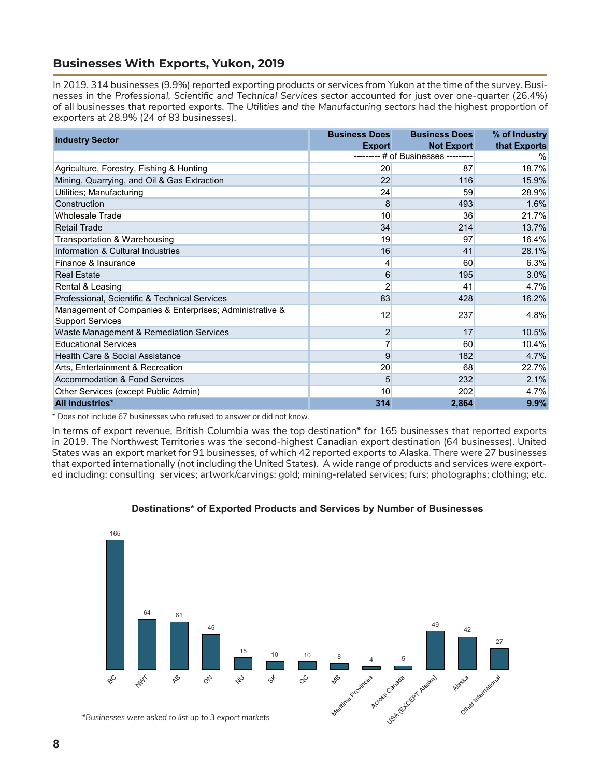## **Businesses With Exports, Yukon, 2019**

In 2019, 314 businesses (9.9%) reported exporting products or services from Yukon at the time of the survey. Businesses in the *Professional, Scientific and Technical Services* sector accounted for just over one-quarter (26.4%) of all businesses that reported exports. The *Utilities and the Manufacturing sectors* had the highest proportion of exporters at 28.9% (24 of 83 businesses).

|                                                                                    | <b>Business Does</b> | <b>Business Does</b>      | % of Industry |
|------------------------------------------------------------------------------------|----------------------|---------------------------|---------------|
| <b>Industry Sector</b>                                                             | <b>Export</b>        | <b>Not Export</b>         | that Exports  |
|                                                                                    |                      | # of Businesses --------- | %             |
| Agriculture, Forestry, Fishing & Hunting                                           | 20                   | 87                        | 18.7%         |
| Mining, Quarrying, and Oil & Gas Extraction                                        | 22                   | 116                       | 15.9%         |
| Utilities; Manufacturing                                                           | 24                   | 59                        | 28.9%         |
| Construction                                                                       | 8                    | 493                       | 1.6%          |
| <b>Wholesale Trade</b>                                                             | 10                   | 36                        | 21.7%         |
| <b>Retail Trade</b>                                                                | 34                   | 214                       | 13.7%         |
| Transportation & Warehousing                                                       | 19                   | 97                        | 16.4%         |
| Information & Cultural Industries                                                  | 16                   | 41                        | 28.1%         |
| Finance & Insurance                                                                | 4                    | 60                        | 6.3%          |
| <b>Real Estate</b>                                                                 | 6                    | 195                       | 3.0%          |
| Rental & Leasing                                                                   | $\overline{2}$       | 41                        | 4.7%          |
| Professional, Scientific & Technical Services                                      | 83                   | 428                       | 16.2%         |
| Management of Companies & Enterprises; Administrative &<br><b>Support Services</b> | 12                   | 237                       | 4.8%          |
| Waste Management & Remediation Services                                            | $\overline{c}$       | 17                        | 10.5%         |
| <b>Educational Services</b>                                                        | $\overline{7}$       | 60                        | 10.4%         |
| Health Care & Social Assistance                                                    | 9                    | 182                       | 4.7%          |
| Arts, Entertainment & Recreation                                                   | 20                   | 68                        | 22.7%         |
| Accommodation & Food Services                                                      | 5                    | 232                       | 2.1%          |
| Other Services (except Public Admin)                                               | 10                   | 202                       | $4.7\%$       |
| <b>All Industries*</b>                                                             | 314                  | 2,864                     | 9.9%          |

\* Does not include 67 businesses who refused to answer or did not know.

In terms of export revenue, British Columbia was the top destination\* for 165 businesses that reported exports in 2019. The Northwest Territories was the second-highest Canadian export destination (64 businesses). United States was an export market for 91 businesses, of which 42 reported exports to Alaska. There were 27 businesses that exported internationally (not including the United States). A wide range of products and services were exported including: consulting services; artwork/carvings; gold; mining-related services; furs; photographs; clothing; etc.



#### **Destinations\* of Exported Products and Services by Number of Businesses**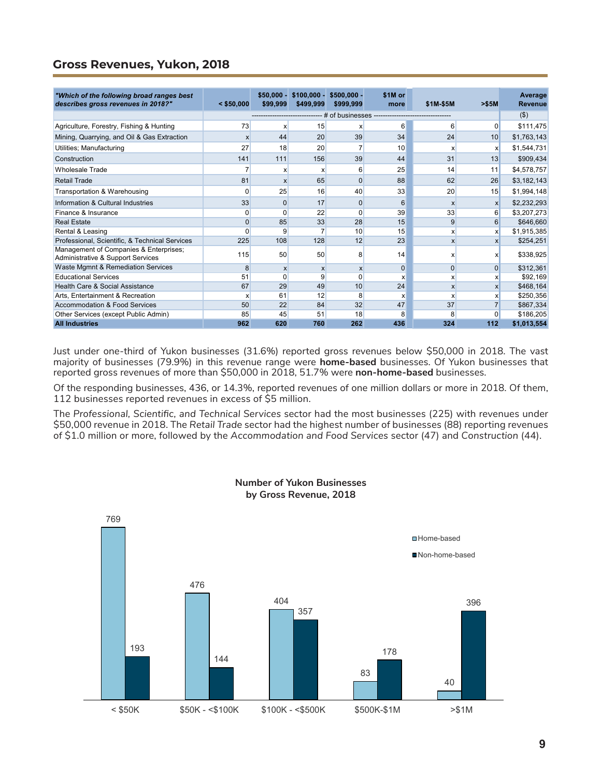## **Gross Revenues, Yukon, 2018**

| "Which of the following broad ranges best                                   |              | $$50.000 -$      | $$100.000 -$ | $$500.000 -$        | \$1M or      |                           |                  | Average        |
|-----------------------------------------------------------------------------|--------------|------------------|--------------|---------------------|--------------|---------------------------|------------------|----------------|
| describes gross revenues in 2018?"                                          | $<$ \$50,000 | \$99,999         | \$499,999    | \$999,999           | more         | \$1M-\$5M                 | > \$5M           | <b>Revenue</b> |
|                                                                             |              |                  |              | # of businesses --- |              |                           |                  | (3)            |
| Agriculture, Forestry, Fishing & Hunting                                    | 73           | x                | 15           | x                   | 6            | 6                         | $\Omega$         | \$111,475      |
| Mining, Quarrying, and Oil & Gas Extraction                                 | X            | 44               | 20           | 39                  | 34           | 24                        | 10               | \$1,763,143    |
| Utilities; Manufacturing                                                    | 27           | 18               | 20           |                     | 10           | X                         | X                | \$1,544,731    |
| Construction                                                                | 141          | 111              | 156          | 39                  | 44           | 31                        | 13               | \$909,434      |
| <b>Wholesale Trade</b>                                                      |              | x                | X            | 6                   | 25           | 14                        | 11               | \$4,578,757    |
| <b>Retail Trade</b>                                                         | 81           | X                | 65           | 0                   | 88           | 62                        | 26               | \$3,182,143    |
| Transportation & Warehousing                                                | 0            | 25               | 16           | 40                  | 33           | 20                        | 15               | \$1,994,148    |
| Information & Cultural Industries                                           | 33           | $\Omega$         | 17           | $\Omega$            | 6            | $\mathsf{x}$              | $\mathsf{x}$     | \$2,232,293    |
| Finance & Insurance                                                         | $\Omega$     | 0                | 22           | $\mathbf 0$         | 39           | 33                        | $6 \mid$         | \$3,207,273    |
| <b>Real Estate</b>                                                          | $\Omega$     | 85               | 33           | 28                  | 15           | 9                         | $6 \overline{6}$ | \$646,660      |
| Rental & Leasing                                                            | ŋ            | 9                |              | 10                  | 15           | $\boldsymbol{\mathsf{x}}$ | X                | \$1,915,385    |
| Professional, Scientific, & Technical Services                              | 225          | 108              | 128          | 12                  | 23           | $\boldsymbol{\mathsf{x}}$ | $\mathsf{x}$     | \$254,251      |
| Management of Companies & Enterprises;<br>Administrative & Support Services | 115          | 50               | 50           | 8                   | 14           | X                         | X                | \$338,925      |
| Waste Mgmnt & Remediation Services                                          | 8            | $\boldsymbol{x}$ | $\mathsf{x}$ | $\mathsf{x}$        | $\mathbf{0}$ | $\mathbf{0}$              | $\Omega$         | \$312,361      |
| <b>Educational Services</b>                                                 | 51           | $\Omega$         | 9            | 0                   | X            | X                         | x                | \$92,169       |
| Health Care & Social Assistance                                             | 67           | 29               | 49           | 10                  | 24           | $\mathsf{x}$              | $\mathsf{x}$     | \$468,164      |
| Arts. Entertainment & Recreation                                            | X            | 61               | 12           | 8                   | X            | X                         | x                | \$250,356      |
| Accommodation & Food Services                                               | 50           | 22               | 84           | 32                  | 47           | 37                        |                  | \$867,334      |
| Other Services (except Public Admin)                                        | 85           | 45               | 51           | 18                  | 8            | 8                         | $\Omega$         | \$186,205      |
| <b>All Industries</b>                                                       | 962          | 620              | 760          | 262                 | 436          | 324                       | 112              | \$1,013,554    |

Just under one-third of Yukon businesses (31.6%) reported gross revenues below \$50,000 in 2018. The vast majority of businesses (79.9%) in this revenue range were **home-based** businesses. Of Yukon businesses that reported gross revenues of more than \$50,000 in 2018, 51.7% were **non-home-based** businesses.

Of the responding businesses, 436, or 14.3%, reported revenues of one million dollars or more in 2018. Of them, 112 businesses reported revenues in excess of \$5 million.

The *Professional, Scientific, and Technical Services* sector had the most businesses (225) with revenues under \$50,000 revenue in 2018. The *Retail Trade* sector had the highest number of businesses (88) reporting revenues of \$1.0 million or more, followed by the *Accommodation and Food Services* sector (47) and *Construction* (44).



#### **Number of Yukon Businesses by Gross Revenue, 2018**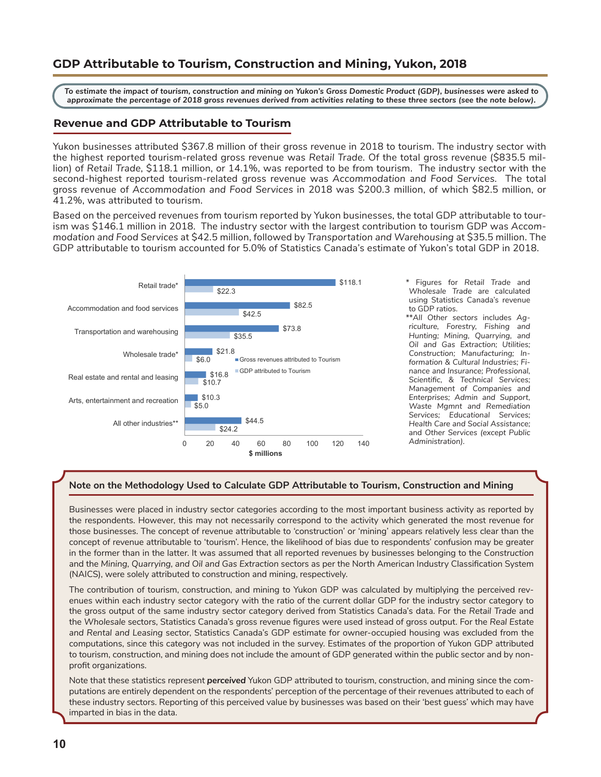## **GDP Attributable to Tourism, Construction and Mining, Yukon, 2018**

*To estimate the impact of tourism, construction and mining on Yukon's Gross Domestic Product (GDP), businesses were asked to approximate the percentage of 2018 gross revenues derived from activities relating to these three sectors (see the note below).*

#### **Revenue and GDP Attributable to Tourism**

Yukon businesses attributed \$367.8 million of their gross revenue in 2018 to tourism. The industry sector with the highest reported tourism-related gross revenue was *Retail Trade.* Of the total gross revenue (\$835.5 million) of *Retail Trade*, \$118.1 million, or 14.1%, was reported to be from tourism. The industry sector with the second-highest reported tourism-related gross revenue was *Accommodation and Food Services.* The total gross revenue of *Accommodation and Food Services* in 2018 was \$200.3 million, of which \$82.5 million, or 41.2%, was attributed to tourism.

Based on the perceived revenues from tourism reported by Yukon businesses, the total GDP attributable to tourism was \$146.1 million in 2018. The industry sector with the largest contribution to tourism GDP was *Accommodation and Food Services* at \$42.5 million, followed by *Transportation and Warehousing* at \$35.5 million. The GDP attributable to tourism accounted for 5.0% of Statistics Canada's estimate of Yukon's total GDP in 2018.



\* Figures for *Retail Trade* and *Wholesale Trade* are calculated using Statistics Canada's revenue to GDP ratios.

\*\**All Other sectors* includes *Agriculture, Forestry, Fishing and Hunting; Mining, Quarrying, and Oil and Gas Extraction; Utilities; Construction; Manufacturing; Information & Cultural Industries; Finance and Insurance; Professional, Scientific, & Technical Services; Management of Companies and Enterprises; Admin and Support, Waste Mgmnt and Remediation Services; Educational Services; Health Care and Social Assistance;*  and *Other Services (except Public Administration).*

#### **Note on the Methodology Used to Calculate GDP Attributable to Tourism, Construction and Mining**

Businesses were placed in industry sector categories according to the most important business activity as reported by the respondents. However, this may not necessarily correspond to the activity which generated the most revenue for those businesses. The concept of revenue attributable to 'construction' or 'mining' appears relatively less clear than the concept of revenue attributable to 'tourism'. Hence, the likelihood of bias due to respondents' confusion may be greater in the former than in the latter. It was assumed that all reported revenues by businesses belonging to the *Construction* and the *Mining, Quarrying, and Oil and Gas Extraction* sectors as per the North American Industry Classification System (NAICS), were solely attributed to construction and mining, respectively.

The contribution of tourism, construction, and mining to Yukon GDP was calculated by multiplying the perceived revenues within each industry sector category with the ratio of the current dollar GDP for the industry sector category to the gross output of the same industry sector category derived from Statistics Canada's data. For the *Retail Trade* and the *Wholesale* sectors, Statistics Canada's gross revenue figures were used instead of gross output. For the *Real Estate and Rental and Leasing* sector, Statistics Canada's GDP estimate for owner-occupied housing was excluded from the computations, since this category was not included in the survey. Estimates of the proportion of Yukon GDP attributed to tourism, construction, and mining does not include the amount of GDP generated within the public sector and by nonprofit organizations.

Note that these statistics represent *perceived* Yukon GDP attributed to tourism, construction, and mining since the computations are entirely dependent on the respondents' perception of the percentage of their revenues attributed to each of these industry sectors. Reporting of this perceived value by businesses was based on their 'best guess' which may have imparted in bias in the data.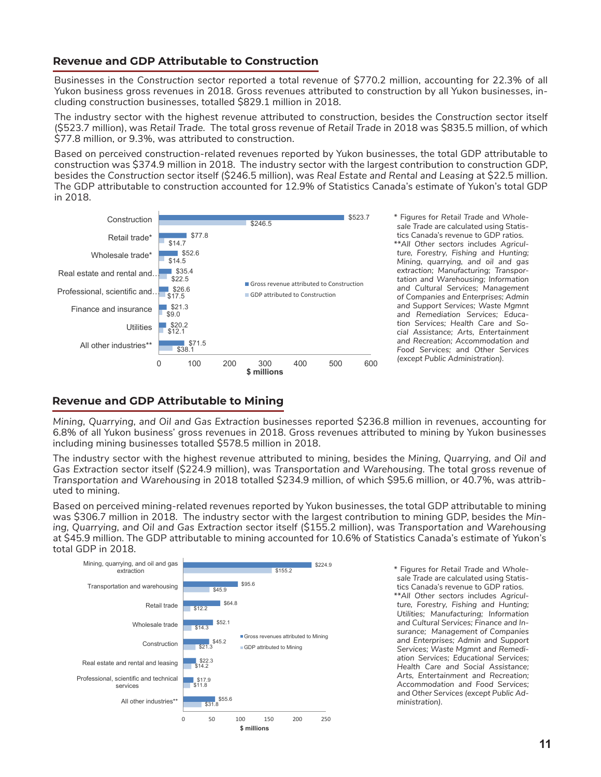### **Revenue and GDP Attributable to Construction**

Businesses in the *Construction* sector reported a total revenue of \$770.2 million, accounting for 22.3% of all Yukon business gross revenues in 2018. Gross revenues attributed to construction by all Yukon businesses, including construction businesses, totalled \$829.1 million in 2018.

The industry sector with the highest revenue attributed to construction, besides the *Construction* sector itself (\$523.7 million), was *Retail Trade.* The total gross revenue of *Retail Trade* in 2018 was \$835.5 million, of which \$77.8 million, or 9.3%, was attributed to construction.

Based on perceived construction-related revenues reported by Yukon businesses, the total GDP attributable to construction was \$374.9 million in 2018. The industry sector with the largest contribution to construction GDP, besides the *Construction* sector itself (\$246.5 million), was *Real Estate and Rental and Leasing* at \$22.5 million. The GDP attributable to construction accounted for 12.9% of Statistics Canada's estimate of Yukon's total GDP in 2018.



\* Figures for *Retail Trade* and *Wholesale Trade* are calculated using Statistics Canada's revenue to GDP ratios. \*\**All Other sectors* includes *Agriculture, Forestry, Fishing and Hunting; Mining, quarrying, and oil and gas extraction; Manufacturing; Transportation and Warehousing; Information and Cultural Services; Management of Companies and Enterprises; Admin and Support Services; Waste Mgmnt and Remediation Services; Education Services; Health Care and Social Assistance; Arts, Entertainment and Recreation; Accommodation and Food Services;* and *Other Services (except Public Administration).*

### **Revenue and GDP Attributable to Mining**

*Mining, Quarrying, and Oil and Gas Extraction* businesses reported \$236.8 million in revenues, accounting for 6.8% of all Yukon business' gross revenues in 2018. Gross revenues attributed to mining by Yukon businesses including mining businesses totalled \$578.5 million in 2018.

The industry sector with the highest revenue attributed to mining, besides the *Mining, Quarrying, and Oil and Gas Extraction* sector itself (\$224.9 million), was *Transportation and Warehousing.* The total gross revenue of *Transportation and Warehousing* in 2018 totalled \$234.9 million, of which \$95.6 million, or 40.7%, was attributed to mining.

Based on perceived mining-related revenues reported by Yukon businesses, the total GDP attributable to mining was \$306.7 million in 2018. The industry sector with the largest contribution to mining GDP, besides the *Mining, Quarrying, and Oil and Gas Extraction* sector itself (\$155.2 million), was *Transportation and Warehousing*  at \$45.9 million. The GDP attributable to mining accounted for 10.6% of Statistics Canada's estimate of Yukon's total GDP in 2018.



\* Figures for *Retail Trade* and *Wholesale Trade* are calculated using Statistics Canada's revenue to GDP ratios. \*\**All Other sectors* includes *Agriculture, Forestry, Fishing and Hunting; Utilities; Manufacturing; Information and Cultural Services; Finance and Insurance; Management of Companies and Enterprises; Admin and Support Services; Waste Mgmnt and Remediation Services; Educational Services; Health Care and Social Assistance; Arts, Entertainment and Recreation; Accommodation and Food Services;*  and *Other Services (except Public Administration).*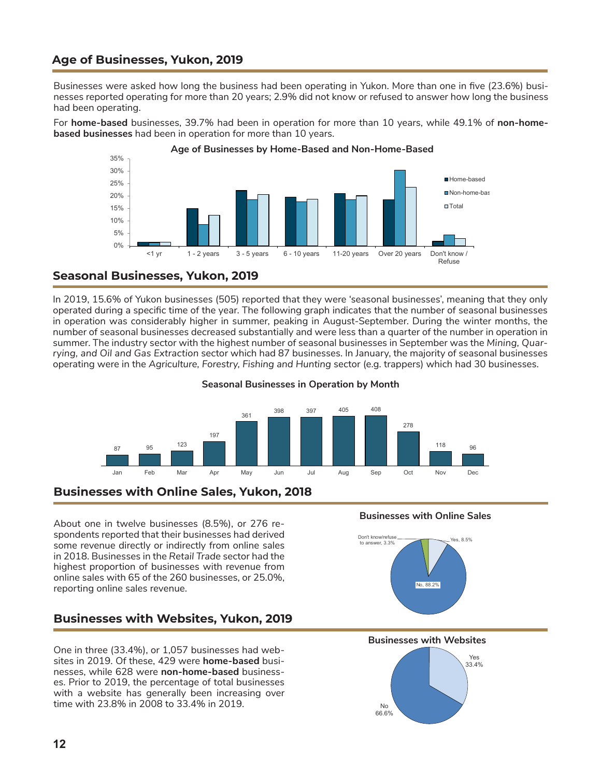## **Age of Businesses, Yukon, 2019**

Businesses were asked how long the business had been operating in Yukon. More than one in five (23.6%) businesses reported operating for more than 20 years; 2.9% did not know or refused to answer how long the business had been operating.

For **home-based** businesses, 39.7% had been in operation for more than 10 years, while 49.1% of **non-homebased businesses** had been in operation for more than 10 years.



#### **Age of Businesses by Home-Based and Non-Home-Based**

## **Seasonal Businesses, Yukon, 2019**

In 2019, 15.6% of Yukon businesses (505) reported that they were 'seasonal businesses', meaning that they only operated during a specific time of the year. The following graph indicates that the number of seasonal businesses in operation was considerably higher in summer, peaking in August-September. During the winter months, the number of seasonal businesses decreased substantially and were less than a quarter of the number in operation in summer. The industry sector with the highest number of seasonal businesses in September was the *Mining, Quarrying, and Oil and Gas Extraction* sector which had 87 businesses. In January, the majority of seasonal businesses operating were in the *Agriculture, Forestry, Fishing and Hunting* sector (e.g. trappers) which had 30 businesses.

#### **Seasonal Businesses in Operation by Month**



## **Businesses with Online Sales, Yukon, 2018**

About one in twelve businesses (8.5%), or 276 respondents reported that their businesses had derived some revenue directly or indirectly from online sales in 2018. Businesses in the *Retail Trade* sector had the highest proportion of businesses with revenue from online sales with 65 of the 260 businesses, or 25.0%, reporting online sales revenue.

## **Businesses with Websites, Yukon, 2019**

One in three (33.4%), or 1,057 businesses had websites in 2019. Of these, 429 were **home-based** businesses, while 628 were **non-home-based** businesses. Prior to 2019, the percentage of total businesses with a website has generally been increasing over time with 23.8% in 2008 to 33.4% in 2019.

#### **Businesses with Online Sales**



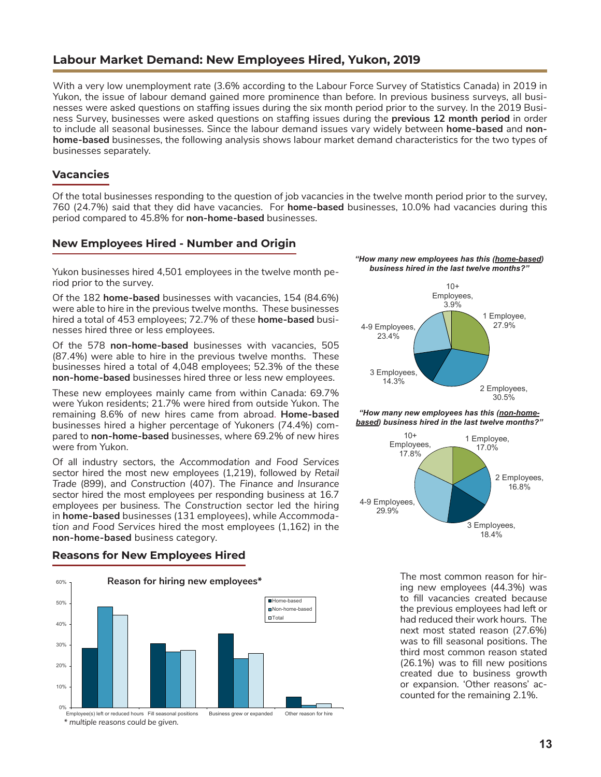## **Labour Market Demand: New Employees Hired, Yukon, 2019**

With a very low unemployment rate (3.6% according to the Labour Force Survey of Statistics Canada) in 2019 in Yukon, the issue of labour demand gained more prominence than before. In previous business surveys, all businesses were asked questions on staffing issues during the six month period prior to the survey. In the 2019 Business Survey, businesses were asked questions on staffing issues during the **previous 12 month period** in order to include all seasonal businesses. Since the labour demand issues vary widely between **home-based** and **nonhome-based** businesses, the following analysis shows labour market demand characteristics for the two types of businesses separately.

#### **Vacancies**

Of the total businesses responding to the question of job vacancies in the twelve month period prior to the survey, 760 (24.7%) said that they did have vacancies. For **home-based** businesses, 10.0% had vacancies during this period compared to 45.8% for **non-home-based** businesses.

## **New Employees Hired - Number and Origin**

Yukon businesses hired 4,501 employees in the twelve month period prior to the survey.

Of the 182 **home-based** businesses with vacancies, 154 (84.6%) were able to hire in the previous twelve months. These businesses hired a total of 453 employees; 72.7% of these **home-based** businesses hired three or less employees.

Of the 578 **non-home-based** businesses with vacancies, 505 (87.4%) were able to hire in the previous twelve months. These businesses hired a total of 4,048 employees; 52.3% of the these **non-home-based** businesses hired three or less new employees.

These new employees mainly came from within Canada: 69.7% were Yukon residents; 21.7% were hired from outside Yukon. The remaining 8.6% of new hires came from abroad. **Home-based** businesses hired a higher percentage of Yukoners (74.4%) compared to **non-home-based** businesses, where 69.2% of new hires were from Yukon.

Of all industry sectors, the *Accommodation and Food Services* sector hired the most new employees (1,219), followed by *Retail Trade* (899), and *Construction* (407). The *Finance and Insurance* sector hired the most employees per responding business at 16.7 employees per business. The *Construction* sector led the hiring in **home-based** businesses (131 employees), while *Accommodation and Food Services* hired the most employees (1,162) in the **non-home-based** business category.









*"How many new employees has this (non-homebased) business hired in the last twelve months?"*



The most common reason for hiring new employees (44.3%) was to fill vacancies created because the previous employees had left or had reduced their work hours. The next most stated reason (27.6%) was to fill seasonal positions. The third most common reason stated (26.1%) was to fill new positions created due to business growth or expansion. 'Other reasons' accounted for the remaining 2.1%.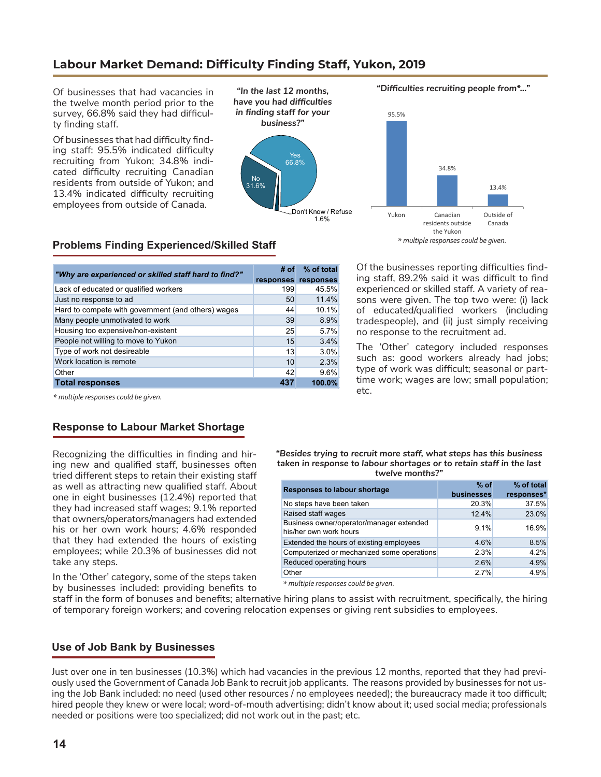## **Labour Market Demand: Difficulty Finding Staff, Yukon, 2019**

Of businesses that had vacancies in the twelve month period prior to the survey, 66.8% said they had difficulty finding staff.

Of businesses that had difficulty finding staff: 95.5% indicated difficulty recruiting from Yukon; 34.8% indicated difficulty recruiting Canadian residents from outside of Yukon; and 13.4% indicated difficulty recruiting employees from outside of Canada.



*"Difficulties recruiting people from\*…"*



## **Problems Finding Experienced/Skilled Staff**

| "Why are experienced or skilled staff hard to find?" | $#$ of | % of total          |
|------------------------------------------------------|--------|---------------------|
|                                                      |        | responses responses |
| Lack of educated or qualified workers                | 199    | 45.5%               |
| Just no response to ad                               | 50     | 11.4%               |
| Hard to compete with government (and others) wages   | 44     | 10.1%               |
| Many people unmotivated to work                      | 39     | 8.9%                |
| Housing too expensive/non-existent                   | 25     | 5.7%                |
| People not willing to move to Yukon                  | 15     | 3.4%                |
| Type of work not desireable                          | 13     | 3.0%                |
| Work location is remote                              | 10     | 2.3%                |
| Other                                                | 42     | 9.6%                |
| <b>Total responses</b>                               | 437    | 100.0%              |

Of the businesses reporting difficulties finding staff, 89.2% said it was difficult to find experienced or skilled staff. A variety of reasons were given. The top two were: (i) lack of educated/qualified workers (including tradespeople), and (ii) just simply receiving no response to the recruitment ad.

The 'Other' category included responses such as: good workers already had jobs; type of work was difficult; seasonal or parttime work; wages are low; small population; etc.

*\* multiple responses could be given.*

### **Response to Labour Market Shortage**

Recognizing the difficulties in finding and hiring new and qualified staff, businesses often tried different steps to retain their existing staff as well as attracting new qualified staff. About one in eight businesses (12.4%) reported that they had increased staff wages; 9.1% reported that owners/operators/managers had extended his or her own work hours; 4.6% responded that they had extended the hours of existing employees; while 20.3% of businesses did not take any steps.

In the 'Other' category, some of the steps taken by businesses included: providing benefits to *"Besides trying to recruit more staff, what steps has this business taken in response to labour shortages or to retain staff in the last twelve months?"*

| <b>Responses to labour shortage</b>                                | $%$ of<br><b>businesses</b> | % of total<br>responses* |
|--------------------------------------------------------------------|-----------------------------|--------------------------|
| No steps have been taken                                           | 20.3%                       | 37.5%                    |
| Raised staff wages                                                 | 12.4%                       | 23.0%                    |
| Business owner/operator/manager extended<br>his/her own work hours | 9.1%                        | 16.9%                    |
| Extended the hours of existing employees                           | 4.6%                        | 8.5%                     |
| Computerized or mechanized some operations                         | 2.3%                        | 4.2%                     |
| Reduced operating hours                                            | 2.6%                        | 4.9%                     |
| Other                                                              | 2.7%                        | 4.9%                     |

*\* multiple responses could be given.*

staff in the form of bonuses and benefits; alternative hiring plans to assist with recruitment, specifically, the hiring of temporary foreign workers; and covering relocation expenses or giving rent subsidies to employees.

#### **Use of Job Bank by Businesses**

Just over one in ten businesses (10.3%) which had vacancies in the previous 12 months, reported that they had previously used the Government of Canada Job Bank to recruit job applicants. The reasons provided by businesses for not using the Job Bank included: no need (used other resources / no employees needed); the bureaucracy made it too difficult; hired people they knew or were local; word-of-mouth advertising; didn't know about it; used social media; professionals needed or positions were too specialized; did not work out in the past; etc.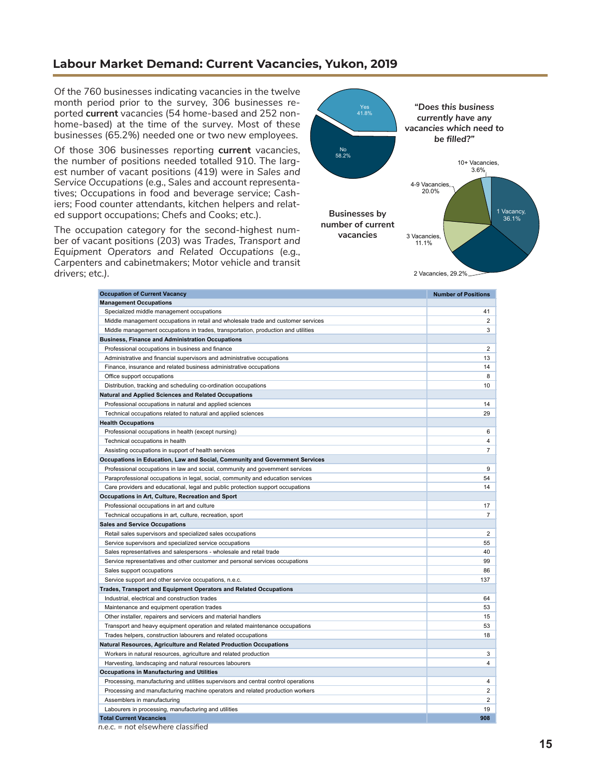## **Labour Market Demand: Current Vacancies, Yukon, 2019**

Of the 760 businesses indicating vacancies in the twelve month period prior to the survey, 306 businesses reported **current** vacancies (54 home-based and 252 nonhome-based) at the time of the survey. Most of these businesses (65.2%) needed one or two new employees.

Of those 306 businesses reporting **current** vacancies, the number of positions needed totalled 910. The largest number of vacant positions (419) were in *Sales and Service Occupations* (e.g., Sales and account representatives; Occupations in food and beverage service; Cashiers; Food counter attendants, kitchen helpers and related support occupations; Chefs and Cooks; etc.).

The occupation category for the second-highest number of vacant positions (203) was *Trades, Transport and Equipment Operators and Related Occupations* (e.g., Carpenters and cabinetmakers; Motor vehicle and transit drivers; etc*.).*



**Occupation of Current Vacancy Number of Positions Number of Positions Number of Positions Management Occupations** Specialized middle management occupations 41 Middle management occupations in retail and wholesale trade and customer services 2 Middle management occupations in trades, transportation, production and utilities **3** 3 **Business, Finance and Administration Occupations** Professional occupations in business and finance 2 and 2 and 2 and 2 and 2 and 2 and 2 and 2 and 2 and 2 and 2 and 2 and 2 and 2 and 2 and 2 and 2 and 2 and 2 and 2 and 2 and 2 and 2 and 2 and 2 and 2 and 2 and 2 and 2 and Administrative and financial supervisors and administrative occupations 13 and 2008 13 and 2008 13 and 2008 13 Finance, insurance and related business administrative occupations 14 and 14 and 14 and 14 and 14 and 14 and 14 and 14 and 14 and 14 and 14 and 14 and 14 and 14 and 14 and 14 and 14 and 14 and 14 and 14 and 15 and 16 and 1 Office support occupations 8 Distribution, tracking and scheduling co-ordination occupations 10 and 10 and 10 and 10 and 10 and 10 and 10 and 10 and 10 and 10 and 10 and 10 and 10 and 10 and 10 and 10 and 10 and 10 and 10 and 10 and 10 and 10 and 10 a **Natural and Applied Sciences and Related Occupations** Professional occupations in natural and applied sciences 14 and 200 minutes of the state of the state 14 and 2011 and 2012 14 and 2012 14 and 2012 14 and 2012 14 and 2012 14 and 2012 14 and 2012 15:00:00 16:00:00 16:00:00 Technical occupations related to natural and applied sciences 29 **Health Occupations** Professional occupations in health (except nursing) 6 Technical occupations in health 4 and  $\frac{4}{3}$ Assisting occupations in support of health services **7** and the service *7* and the service *7* and the service *7* and the service *7* and the service *7* and the service *7* and the service *7* and the service *7* and th **Occupations in Education, Law and Social, Community and Government Services** Professional occupations in law and social, community and government services 9 Paraprofessional occupations in legal, social, community and education services 54 Care providers and educational, legal and public protection support occupations 14 **Occupations in Art, Culture, Recreation and Sport** Professional occupations in art and culture 17 and 17 and 2012 17 and 2012 17 and 2012 17 and 2012 17 and 2012 17 and 2012 17 and 2012 17 and 2012 17 and 2012 17 and 2012 17 and 2012 17 and 2012 17 and 2012 17 and 2012 17 Technical occupations in art, culture, recreation, sport 7  $\overline{7}$ **Sales and Service Occupations** Retail sales supervisors and specialized sales occupations 2 Service supervisors and specialized service occupations **55** Service 3 and specialized service occupations **55** S5 Sales representatives and salespersons - wholesale and retail trade 40 and  $40$ Service representatives and other customer and personal services occupations 99 Sales support occupations 86 Service support and other service occupations, n.e.c. 137 **Trades, Transport and Equipment Operators and Related Occupations** Industrial, electrical and construction trades 64 Maintenance and equipment operation trades 53 Other installer, repairers and servicers and material handlers 15 and 15 and 15 and 15 and 15 and 15 and 15 and 15 and 15 and 15 and 15 and 15 and 15 and 15 and 15 and 15 and 15 and 16 and 16 and 16 and 16 and 16 and 16 an Transport and heavy equipment operation and related maintenance occupations 53 Trades helpers, construction labourers and related occupations 18 **Natural Resources, Agriculture and Related Production Occupations** Workers in natural resources, agriculture and related production 3 3 Harvesting, landscaping and natural resources labourers 4 **Occupations in Manufacturing and Utilities** Processing, manufacturing and utilities supervisors and central control operations 4 Processing and manufacturing machine operators and related production workers 2 Assemblers in manufacturing 2 Labourers in processing, manufacturing and utilities 19 and 19 and 19 and 19 and 19 and 19 and 19 and 19 and 19 and 19 and 19 and 19 and 19 and 19 and 19 and 19 and 19 and 19 and 19 and 19 and 19 and 19 and 19 and 19 and 1 **Total Current Vacancies 908**

*n.e.c. = not elsewhere classified*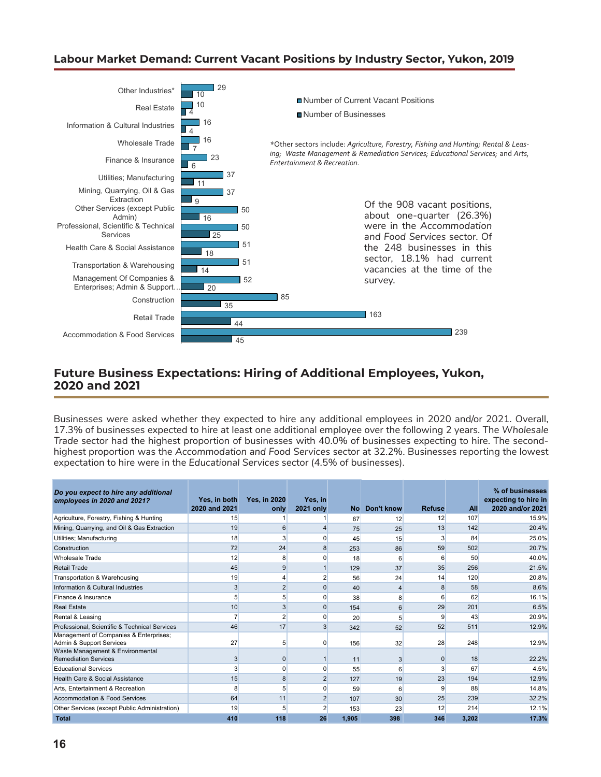## **Labour Market Demand: Current Vacant Positions by Industry Sector, Yukon, 2019**



## **Future Business Expectations: Hiring of Additional Employees, Yukon, 2020 and 2021**

Businesses were asked whether they expected to hire any additional employees in 2020 and/or 2021. Overall, 17.3% of businesses expected to hire at least one additional employee over the following 2 years. The *Wholesale Trade* sector had the highest proportion of businesses with 40.0% of businesses expecting to hire. The secondhighest proportion was the *Accommodation and Food Services* sector at 32.2%. Businesses reporting the lowest expectation to hire were in the *Educational Services* sector (4.5% of businesses).

| Do you expect to hire any additional<br>employees in 2020 and 2021? | Yes, in both<br>2020 and 2021 | <b>Yes, in 2020</b><br>only | Yes, in<br><b>2021 only</b> |       | No Don't know  | <b>Refuse</b> | <b>All</b> | % of businesses<br>expecting to hire in<br>2020 and/or 2021 |
|---------------------------------------------------------------------|-------------------------------|-----------------------------|-----------------------------|-------|----------------|---------------|------------|-------------------------------------------------------------|
| Agriculture, Forestry, Fishing & Hunting                            | 15                            |                             |                             | 67    | 12             | 12            | 107        | 15.9%                                                       |
| Mining, Quarrying, and Oil & Gas Extraction                         | 19                            | 6                           | $\overline{4}$              | 75    | 25             | 13            | 142        | 20.4%                                                       |
| Utilities; Manufacturing                                            | 18                            | 3                           | $\Omega$                    | 45    | 15             |               | 84         | 25.0%                                                       |
| Construction                                                        | 72                            | 24                          | 8                           | 253   | 86             | 59            | 502        | 20.7%                                                       |
| <b>Wholesale Trade</b>                                              | 12                            | 8                           | 0                           | 18    | 6              | 6             | 50         | 40.0%                                                       |
| <b>Retail Trade</b>                                                 | 45                            | 9                           |                             | 129   | 37             | 35            | 256        | 21.5%                                                       |
| Transportation & Warehousing                                        | 19                            |                             | 2                           | 56    | 24             | 14            | 120        | 20.8%                                                       |
| Information & Cultural Industries                                   | 3                             | $\overline{2}$              | 0                           | 40    | $\overline{4}$ | 8             | 58         | 8.6%                                                        |
| Finance & Insurance                                                 | 5                             | 5 <sup>1</sup>              | $\Omega$                    | 38    | 8              | 6             | 62         | 16.1%                                                       |
| <b>Real Estate</b>                                                  | 10                            | 3                           | $\Omega$                    | 154   | 6              | 29            | 201        | 6.5%                                                        |
| Rental & Leasing                                                    |                               | $\overline{2}$              | $\Omega$                    | 20    | 5              | 9             | 43         | 20.9%                                                       |
| Professional, Scientific & Technical Services                       | 46                            | 17                          | $\overline{3}$              | 342   | 52             | 52            | 511        | 12.9%                                                       |
| Management of Companies & Enterprises;<br>Admin & Support Services  | 27                            | 5                           | $\Omega$                    | 156   | 32             | 28            | 248        | 12.9%                                                       |
| Waste Management & Environmental<br><b>Remediation Services</b>     | 3                             | $\Omega$                    |                             | 11    | 3              | $\Omega$      | 18         | 22.2%                                                       |
| <b>Educational Services</b>                                         | 3                             | $\Omega$                    | $\Omega$                    | 55    | 6              |               | 67         | 4.5%                                                        |
| <b>Health Care &amp; Social Assistance</b>                          | 15                            | 8                           | $\overline{2}$              | 127   | 19             | 23            | 194        | 12.9%                                                       |
| Arts. Entertainment & Recreation                                    | 8                             |                             | 0                           | 59    | 6              | 9             | 88         | 14.8%                                                       |
| Accommodation & Food Services                                       | 64                            | 11                          | $\overline{2}$              | 107   | 30             | 25            | 239        | 32.2%                                                       |
| Other Services (except Public Administration)                       | 19                            |                             | 2                           | 153   | 23             | 12            | 214        | 12.1%                                                       |
| <b>Total</b>                                                        | 410                           | 118                         | 26                          | 1.905 | 398            | 346           | 3,202      | 17.3%                                                       |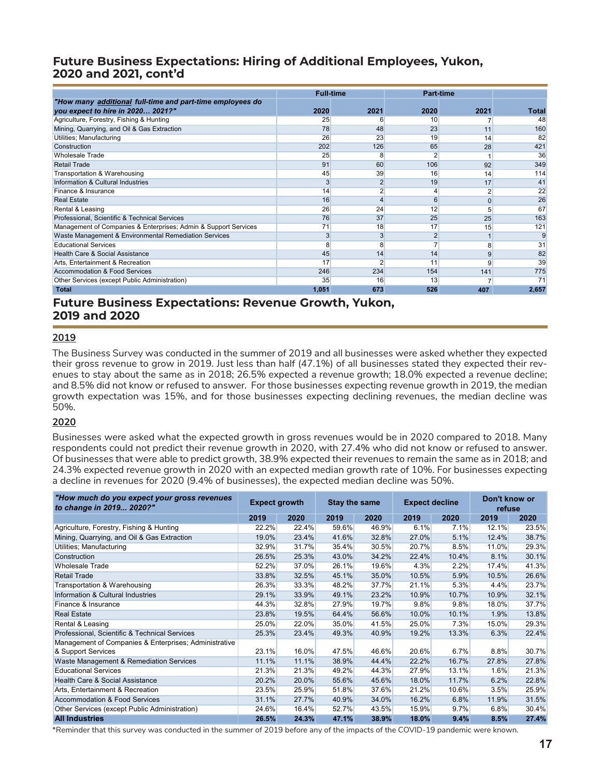## **Future Business Expectations: Hiring of Additional Employees, Yukon, 2020 and 2021, cont'd**

|                                                                 | <b>Full-time</b> |      | <b>Part-time</b> |      |              |
|-----------------------------------------------------------------|------------------|------|------------------|------|--------------|
| "How many additional full-time and part-time employees do       |                  |      |                  |      |              |
| you expect to hire in 2020 2021?"                               | 2020             | 2021 | 2020             | 2021 | <b>Total</b> |
| Agriculture, Forestry, Fishing & Hunting                        | 25               | 6    | 10 <sup>1</sup>  |      | 48           |
| Mining, Quarrying, and Oil & Gas Extraction                     | 78               | 48   | 23               | 11   | 160          |
| Utilities; Manufacturing                                        | 26               | 23   | 19               | 14   | 82           |
| Construction                                                    | 202              | 126  | 65               | 28   | 421          |
| <b>Wholesale Trade</b>                                          | 25               | 8    |                  |      | 36           |
| <b>Retail Trade</b>                                             | 91               | 60   | 106              | 92   | 349          |
| Transportation & Warehousing                                    | 45               | 39   | 16               | 14   | 114          |
| Information & Cultural Industries                               | 3                |      | 19               | 17   | 41           |
| Finance & Insurance                                             | 14               |      |                  |      | 22           |
| <b>Real Estate</b>                                              | 16               |      |                  | 0    | 26           |
| Rental & Leasing                                                | 26               | 24   | 12               | 5    | 67           |
| Professional, Scientific & Technical Services                   | 76               | 37   | 25               | 25   | 163          |
| Management of Companies & Enterprises; Admin & Support Services | 71               | 18   | 17               | 15   | 121          |
| Waste Management & Environmental Remediation Services           |                  |      |                  |      |              |
| <b>Educational Services</b>                                     | 8                | 8    |                  | 8    | 31           |
| Health Care & Social Assistance                                 | 45               | 14   | 14               | 9    | 82           |
| Arts, Entertainment & Recreation                                | 17               |      | 11               |      | 39           |
| <b>Accommodation &amp; Food Services</b>                        | 246              | 234  | 154              | 141  | 775          |
| Other Services (except Public Administration)                   | 35               | 16   | 13               |      | 71           |
| <b>Total</b>                                                    | 1,051            | 673  | 526              | 407  | 2,657        |

## **Future Business Expectations: Revenue Growth, Yukon, 2019 and 2020**

#### **2019**

The Business Survey was conducted in the summer of 2019 and all businesses were asked whether they expected their gross revenue to grow in 2019. Just less than half (47.1%) of all businesses stated they expected their revenues to stay about the same as in 2018; 26.5% expected a revenue growth; 18.0% expected a revenue decline; and 8.5% did not know or refused to answer. For those businesses expecting revenue growth in 2019, the median growth expectation was 15%, and for those businesses expecting declining revenues, the median decline was 50%.

#### **2020**

Businesses were asked what the expected growth in gross revenues would be in 2020 compared to 2018. Many respondents could not predict their revenue growth in 2020, with 27.4% who did not know or refused to answer. Of businesses that were able to predict growth, 38.9% expected their revenues to remain the same as in 2018; and 24.3% expected revenue growth in 2020 with an expected median growth rate of 10%. For businesses expecting a decline in revenues for 2020 (9.4% of businesses), the expected median decline was 50%.

| "How much do you expect your gross revenues<br>to change in 2019 2020?" | <b>Expect growth</b> |       | <b>Stay the same</b> |       | <b>Expect decline</b> |       | Don't know or<br>refuse |       |  |
|-------------------------------------------------------------------------|----------------------|-------|----------------------|-------|-----------------------|-------|-------------------------|-------|--|
|                                                                         | 2019                 | 2020  | 2019                 | 2020  | 2019                  | 2020  | 2019                    | 2020  |  |
| Agriculture, Forestry, Fishing & Hunting                                | 22.2%                | 22.4% | 59.6%                | 46.9% | 6.1%                  | 7.1%  | 12.1%                   | 23.5% |  |
| Mining, Quarrying, and Oil & Gas Extraction                             | 19.0%                | 23.4% | 41.6%                | 32.8% | 27.0%                 | 5.1%  | 12.4%                   | 38.7% |  |
| Utilities; Manufacturing                                                | 32.9%                | 31.7% | 35.4%                | 30.5% | 20.7%                 | 8.5%  | 11.0%                   | 29.3% |  |
| Construction                                                            | 26.5%                | 25.3% | 43.0%                | 34.2% | 22.4%                 | 10.4% | 8.1%                    | 30.1% |  |
| <b>Wholesale Trade</b>                                                  | 52.2%                | 37.0% | 26.1%                | 19.6% | 4.3%                  | 2.2%  | 17.4%                   | 41.3% |  |
| <b>Retail Trade</b>                                                     | 33.8%                | 32.5% | 45.1%                | 35.0% | 10.5%                 | 5.9%  | 10.5%                   | 26.6% |  |
| Transportation & Warehousing                                            | 26.3%                | 33.3% | 48.2%                | 37.7% | 21.1%                 | 5.3%  | 4.4%                    | 23.7% |  |
| Information & Cultural Industries                                       | 29.1%                | 33.9% | 49.1%                | 23.2% | 10.9%                 | 10.7% | 10.9%                   | 32.1% |  |
| Finance & Insurance                                                     | 44.3%                | 32.8% | 27.9%                | 19.7% | 9.8%                  | 9.8%  | 18.0%                   | 37.7% |  |
| <b>Real Estate</b>                                                      | 23.8%                | 19.5% | 64.4%                | 56.6% | 10.0%                 | 10.1% | 1.9%                    | 13.8% |  |
| Rental & Leasing                                                        | 25.0%                | 22.0% | 35.0%                | 41.5% | 25.0%                 | 7.3%  | 15.0%                   | 29.3% |  |
| Professional, Scientific & Technical Services                           | 25.3%                | 23.4% | 49.3%                | 40.9% | 19.2%                 | 13.3% | 6.3%                    | 22.4% |  |
| Management of Companies & Enterprises; Administrative                   |                      |       |                      |       |                       |       |                         |       |  |
| & Support Services                                                      | 23.1%                | 16.0% | 47.5%                | 46.6% | 20.6%                 | 6.7%  | 8.8%                    | 30.7% |  |
| Waste Management & Remediation Services                                 | 11.1%                | 11.1% | 38.9%                | 44.4% | 22.2%                 | 16.7% | 27.8%                   | 27.8% |  |
| <b>Educational Services</b>                                             | 21.3%                | 21.3% | 49.2%                | 44.3% | 27.9%                 | 13.1% | 1.6%                    | 21.3% |  |
| Health Care & Social Assistance                                         | 20.2%                | 20.0% | 55.6%                | 45.6% | 18.0%                 | 11.7% | 6.2%                    | 22.8% |  |
| Arts, Entertainment & Recreation                                        | 23.5%                | 25.9% | 51.8%                | 37.6% | 21.2%                 | 10.6% | 3.5%                    | 25.9% |  |
| Accommodation & Food Services                                           | 31.1%                | 27.7% | 40.9%                | 34.0% | 16.2%                 | 6.8%  | 11.9%                   | 31.5% |  |
| Other Services (except Public Administration)                           | 24.6%                | 16.4% | 52.7%                | 43.5% | 15.9%                 | 9.7%  | 6.8%                    | 30.4% |  |
| <b>All Industries</b>                                                   | 26.5%                | 24.3% | 47.1%                | 38.9% | 18.0%                 | 9.4%  | 8.5%                    | 27.4% |  |

\*Reminder that this survey was conducted in the summer of 2019 before any of the impacts of the COVID-19 pandemic were known.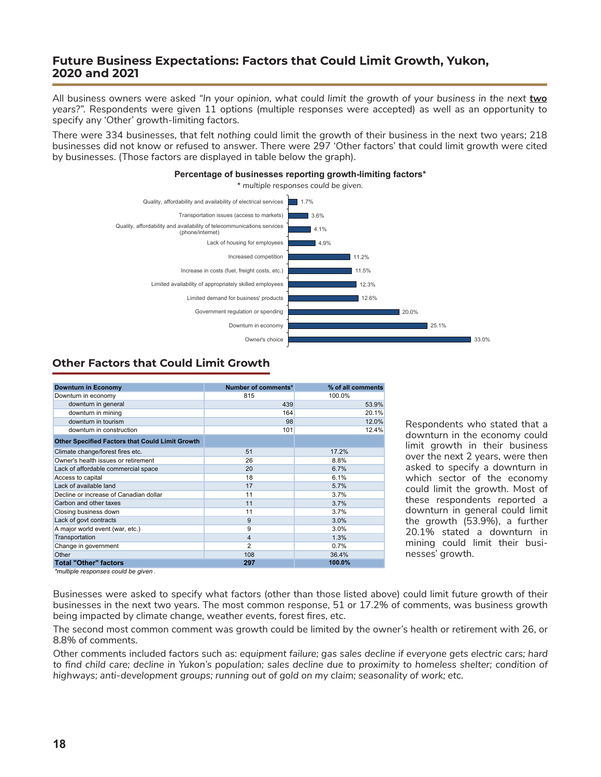## **Future Business Expectations: Factors that Could Limit Growth, Yukon, 2020 and 2021**

All business owners were asked *"In your opinion, what could limit the growth of your business in the next two years?".* Respondents were given 11 options (multiple responses were accepted) as well as an opportunity to specify any 'Other' growth-limiting factors.

There were 334 businesses, that felt *nothing* could limit the growth of their business in the next two years; 218 businesses did not know or refused to answer. There were 297 'Other factors' that could limit growth were cited by businesses. (Those factors are displayed in table below the graph).

**Percentage of businesses reporting growth-limiting factors\***



# **Other Factors that Could Limit Growth**

| <b>Downturn in Economy</b>                             | Number of comments* | % of all comments |
|--------------------------------------------------------|---------------------|-------------------|
| Downturn in economy                                    | 815                 | 100.0%            |
| downturn in general                                    | 439                 | 53.9%             |
| downturn in mining                                     | 164                 | 20.1%             |
| downturn in tourism                                    | 98                  | 12.0%             |
| downturn in construction                               | 101                 | 12.4%             |
| <b>Other Specified Factors that Could Limit Growth</b> |                     |                   |
| Climate change/forest fires etc.                       | 51                  | 17.2%             |
| Owner's health issues or retirement                    | 26                  | 8.8%              |
| Lack of affordable commercial space                    | 20                  | 6.7%              |
| Access to capital                                      | 18                  | 6.1%              |
| Lack of available land                                 | 17                  | 5.7%              |
| Decline or increase of Canadian dollar                 | 11                  | 3.7%              |
| Carbon and other taxes                                 | 11                  | 3.7%              |
| Closing business down                                  | 11                  | 3.7%              |
| Lack of govt contracts                                 | 9                   | 3.0%              |
| A major world event (war, etc.)                        | 9                   | 3.0%              |
| Transportation                                         | 4                   | 1.3%              |
| Change in government                                   | $\overline{2}$      | 0.7%              |
| Other                                                  | 108                 | 36.4%             |
| <b>Total "Other" factors</b>                           | 297                 | 100.0%            |

Respondents who stated that a downturn in the economy could limit growth in their business over the next 2 years, were then asked to specify a downturn in which sector of the economy could limit the growth. Most of these respondents reported a downturn in general could limit the growth (53.9%), a further 20.1% stated a downturn in mining could limit their businesses' growth.

*\*multiple responses could be given .*

Businesses were asked to specify what factors (other than those listed above) could limit future growth of their businesses in the next two years. The most common response, 51 or 17.2% of comments, was business growth being impacted by climate change, weather events, forest fires, etc.

The second most common comment was growth could be limited by the owner's health or retirement with 26, or 8.8% of comments.

Other comments included factors such as: *equipment failure; gas sales decline if everyone gets electric cars; hard*  to find child care; decline in Yukon's population; sales decline due to proximity to homeless shelter; condition of *highways; anti-development groups; running out of gold on my claim; seasonality of work; etc.*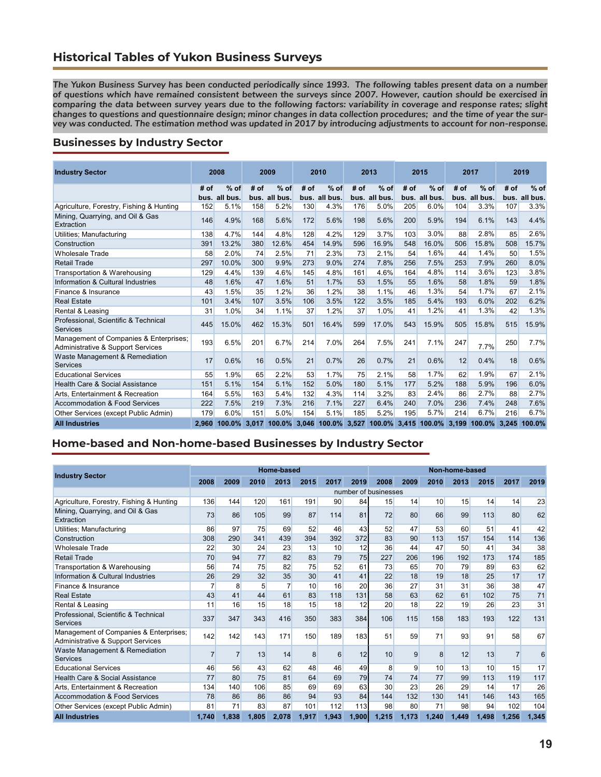## **Historical Tables of Yukon Business Surveys**

*The Yukon Business Survey has been conducted periodically since 1993. The following tables present data on a number of questions which have remained consistent between the surveys since 2007. However, caution should be exercised in comparing the data between survey years due to the following factors: variability in coverage and response rates; slight changes to questions and questionnaire design; minor changes in data collection procedures; and the time of year the survey was conducted. The estimation method was updated in 2017 by introducing adjustments to account for non-response.*

#### **Businesses by Industry Sector**

| <b>Industry Sector</b>                                                      |       | 2008                    |      | 2009                    |      | 2010                            |      | 2013                    |      | 2015                      |      | 2017                    |      | 2019                    |
|-----------------------------------------------------------------------------|-------|-------------------------|------|-------------------------|------|---------------------------------|------|-------------------------|------|---------------------------|------|-------------------------|------|-------------------------|
|                                                                             | # of  | $%$ of<br>bus. all bus. | # of | $%$ of<br>bus. all bus. | # of | $%$ of<br>bus. all bus.         | # of | $%$ of<br>bus. all bus. | # of | $%$ of<br>bus. all bus.   | # of | $%$ of<br>bus. all bus. | # of | $%$ of<br>bus. all bus. |
| Agriculture, Forestry, Fishing & Hunting                                    | 152   | 5.1%                    | 158  | 5.2%                    | 130  | 4.3%                            | 176  | 5.0%                    | 205  | 6.0%                      | 104  | 3.3%                    | 107  | 3.3%                    |
| Mining, Quarrying, and Oil & Gas<br>Extraction                              | 146   | 4.9%                    | 168  | 5.6%                    | 172  | 5.6%                            | 198  | 5.6%                    | 200  | 5.9%                      | 194  | 6.1%                    | 143  | 4.4%                    |
| Utilities; Manufacturing                                                    | 138   | 4.7%                    | 144  | 4.8%                    | 128  | 4.2%                            | 129  | 3.7%                    | 103  | 3.0%                      | 88   | 2.8%                    | 85   | 2.6%                    |
| Construction                                                                | 391   | 13.2%                   | 380  | 12.6%                   | 454  | 14.9%                           | 596  | 16.9%                   | 548  | 16.0%                     | 506  | 15.8%                   | 508  | 15.7%                   |
| <b>Wholesale Trade</b>                                                      | 58    | 2.0%                    | 74   | 2.5%                    | 71   | 2.3%                            | 73   | 2.1%                    | 54   | 1.6%                      | 44   | 1.4%                    | 50   | 1.5%                    |
| <b>Retail Trade</b>                                                         | 297   | 10.0%                   | 300  | 9.9%                    | 273  | 9.0%                            | 274  | 7.8%                    | 256  | 7.5%                      | 253  | 7.9%                    | 260  | 8.0%                    |
| Transportation & Warehousing                                                | 129   | 4.4%                    | 139  | 4.6%                    | 145  | 4.8%                            | 161  | 4.6%                    | 164  | 4.8%                      | 114  | 3.6%                    | 123  | 3.8%                    |
| Information & Cultural Industries                                           | 48    | 1.6%                    | 47   | 1.6%                    | 51   | 1.7%                            | 53   | 1.5%                    | 55   | 1.6%                      | 58   | 1.8%                    | 59   | 1.8%                    |
| Finance & Insurance                                                         | 43    | 1.5%                    | 35   | 1.2%                    | 36   | 1.2%                            | 38   | 1.1%                    | 46   | 1.3%                      | 54   | 1.7%                    | 67   | 2.1%                    |
| <b>Real Estate</b>                                                          | 101   | 3.4%                    | 107  | 3.5%                    | 106  | 3.5%                            | 122  | 3.5%                    | 185  | 5.4%                      | 193  | 6.0%                    | 202  | 6.2%                    |
| Rental & Leasing                                                            | 31    | 1.0%                    | 34   | 1.1%                    | 37   | 1.2%                            | 37   | 1.0%                    | 41   | 1.2%                      | 41   | 1.3%                    | 42   | 1.3%                    |
| Professional, Scientific & Technical<br><b>Services</b>                     | 445   | 15.0%                   | 462  | 15.3%                   | 501  | 16.4%                           | 599  | 17.0%                   | 543  | 15.9%                     | 505  | 15.8%                   | 515  | 15.9%                   |
| Management of Companies & Enterprises;<br>Administrative & Support Services | 193   | 6.5%                    | 201  | 6.7%                    | 214  | 7.0%                            | 264  | 7.5%                    | 241  | 7.1%                      | 247  | 7.7%                    | 250  | 7.7%                    |
| Waste Management & Remediation<br>Services                                  | 17    | 0.6%                    | 16   | 0.5%                    | 21   | 0.7%                            | 26   | 0.7%                    | 21   | 0.6%                      | 12   | 0.4%                    | 18   | 0.6%                    |
| <b>Educational Services</b>                                                 | 55    | 1.9%                    | 65   | 2.2%                    | 53   | 1.7%                            | 75   | 2.1%                    | 58   | 1.7%                      | 62   | 1.9%                    | 67   | 2.1%                    |
| Health Care & Social Assistance                                             | 151   | 5.1%                    | 154  | 5.1%                    | 152  | 5.0%                            | 180  | 5.1%                    | 177  | 5.2%                      | 188  | 5.9%                    | 196  | 6.0%                    |
| Arts, Entertainment & Recreation                                            | 164   | 5.5%                    | 163  | 5.4%                    | 132  | 4.3%                            | 114  | 3.2%                    | 83   | 2.4%                      | 86   | 2.7%                    | 88   | 2.7%                    |
| Accommodation & Food Services                                               | 222   | 7.5%                    | 219  | 7.3%                    | 216  | 7.1%                            | 227  | 6.4%                    | 240  | 7.0%                      | 236  | 7.4%                    | 248  | 7.6%                    |
| Other Services (except Public Admin)                                        | 179   | 6.0%                    | 151  | 5.0%                    | 154  | 5.1%                            | 185  | 5.2%                    | 195  | 5.7%                      | 214  | 6.7%                    | 216  | 6.7%                    |
| <b>All Industries</b>                                                       | 2.960 | $100.0\%$               |      |                         |      | 3,017 100.0% 3,046 100.0% 3,527 |      |                         |      | 100.0% 3,415 100.0% 3,199 |      | 100.0% 3.245            |      | 100.0%                  |

### **Home-based and Non-home-based Businesses by Industry Sector**

|                                                                             |                |                |       | Home-based |       |       |       |                      |       |              | Non-home-based |       |                |       |
|-----------------------------------------------------------------------------|----------------|----------------|-------|------------|-------|-------|-------|----------------------|-------|--------------|----------------|-------|----------------|-------|
| <b>Industry Sector</b>                                                      | 2008           | 2009           | 2010  | 2013       | 2015  | 2017  | 2019  | 2008                 | 2009  | 2010         | 2013           | 2015  | 2017           | 2019  |
|                                                                             |                |                |       |            |       |       |       | number of businesses |       |              |                |       |                |       |
| Agriculture, Forestry, Fishing & Hunting                                    | 136            | 144            | 120   | 161        | 191   | 90    | 84    | 15                   | 14    | 10           | 15             | 14    | 14             | 23    |
| Mining, Quarrying, and Oil & Gas<br>Extraction                              | 73             | 86             | 105   | 99         | 87    | 114   | 81    | 72                   | 80    | 66           | 99             | 113   | 80             | 62    |
| Utilities; Manufacturing                                                    | 86             | 97             | 75    | 69         | 52    | 46    | 43    | 52                   | 47    | 53           | 60             | 51    | 41             | 42    |
| Construction                                                                | 308            | 290            | 341   | 439        | 394   | 392   | 372   | 83                   | 90    | 113          | 157            | 154   | 114            | 136   |
| <b>Wholesale Trade</b>                                                      | 22             | 30             | 24    | 23         | 13    | 10    | 12    | 36                   | 44    | 47           | 50             | 41    | 34             | 38    |
| <b>Retail Trade</b>                                                         | 70             | 94             | 77    | 82         | 83    | 79    | 75    | 227                  | 206   | 196          | 192            | 173   | 174            | 185   |
| Transportation & Warehousing                                                | 56             | 74             | 75    | 82         | 75    | 52    | 61    | 73                   | 65    | 70           | 79             | 89    | 63             | 62    |
| Information & Cultural Industries                                           | 26             | 29             | 32    | 35         | 30    | 41    | 41    | 22                   | 18    | 19           | 18             | 25    | 17             | 17    |
| Finance & Insurance                                                         |                | 8              | 5     |            | 10    | 16    | 20    | 36                   | 27    | 31           | 31             | 36    | 38             | 47    |
| <b>Real Estate</b>                                                          | 43             | 41             | 44    | 61         | 83    | 118   | 131   | 58                   | 63    | 62           | 61             | 102   | 75             | 71    |
| Rental & Leasing                                                            | 11             | 16             | 15    | 18         | 15    | 18    | 12    | 20                   | 18    | 22           | 19             | 26    | 23             | 31    |
| Professional, Scientific & Technical<br>Services                            | 337            | 347            | 343   | 416        | 350   | 383   | 384   | 106                  | 115   | 158          | 183            | 193   | 122            | 131   |
| Management of Companies & Enterprises;<br>Administrative & Support Services | 142            | 142            | 143   | 171        | 150   | 189   | 183   | 51                   | 59    | 71           | 93             | 91    | 58             | 67    |
| Waste Management & Remediation<br>Services                                  | $\overline{7}$ | $\overline{7}$ | 13    | 14         | 8     | 6     | 12    | 10                   | 9     | $\mathsf{B}$ | 12             | 13    | $\overline{7}$ | 6     |
| <b>Educational Services</b>                                                 | 46             | 56             | 43    | 62         | 48    | 46    | 49    | 8                    | 9     | 10           | 13             | 10    | 15             | 17    |
| Health Care & Social Assistance                                             | 77             | 80             | 75    | 81         | 64    | 69    | 79    | 74                   | 74    | 77           | 99             | 113   | 119            | 117   |
| Arts. Entertainment & Recreation                                            | 134            | 140            | 106   | 85         | 69    | 69    | 63    | 30                   | 23    | 26           | 29             | 14    | 17             | 26    |
| <b>Accommodation &amp; Food Services</b>                                    | 78             | 86             | 86    | 86         | 94    | 93    | 84    | 144                  | 132   | 130          | 141            | 146   | 143            | 165   |
| Other Services (except Public Admin)                                        | 81             | 71             | 83    | 87         | 101   | 112   | 113   | 98                   | 80    | 71           | 98             | 94    | 102            | 104   |
| <b>All Industries</b>                                                       | 1.740          | 1.838          | 1.805 | 2.078      | 1.917 | 1.943 | 1.900 | 1.215                | 1.173 | 1,240        | 1.449          | 1,498 | 1.256          | 1,345 |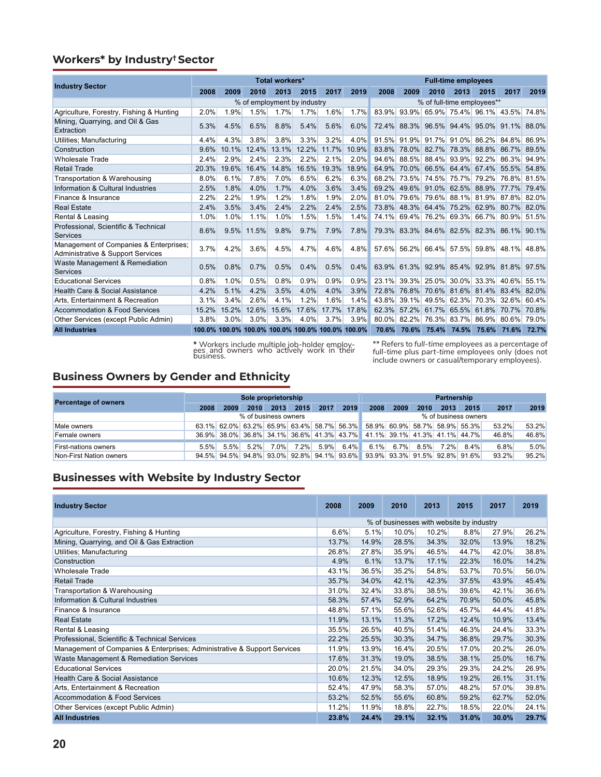## **Workers\* by Industry† Sector**

| <b>Industry Sector</b>                                                      |       |                                                  |       | <b>Total workers*</b>       |       |       |       |       |       |             | <b>Full-time employees</b>                |       |                |       |
|-----------------------------------------------------------------------------|-------|--------------------------------------------------|-------|-----------------------------|-------|-------|-------|-------|-------|-------------|-------------------------------------------|-------|----------------|-------|
|                                                                             | 2008  | 2009                                             | 2010  | 2013                        | 2015  | 2017  | 2019  | 2008  | 2009  | 2010        | 2013                                      | 2015  | 2017           | 2019  |
|                                                                             |       |                                                  |       | % of employment by industry |       |       |       |       |       |             | % of full-time employees**                |       |                |       |
| Agriculture, Forestry, Fishing & Hunting                                    | 2.0%  | 1.9%                                             | 1.5%  | 1.7%                        | 1.7%  | 1.6%  | 1.7%  | 83.9% | 93.9% |             | 65.9% 75.4% 96.1%                         |       | 43.5% 74.8%    |       |
| Mining, Quarrying, and Oil & Gas<br>Extraction                              | 5.3%  | 4.5%                                             | 6.5%  | 8.8%                        | 5.4%  | 5.6%  | 6.0%  | 72.4% |       |             | 88.3% 96.5% 94.4% 95.0% 91.1%             |       |                | 88.0% |
| Utilities; Manufacturing                                                    | 4.4%  | 4.3%                                             | 3.8%  | 3.8%                        | 3.3%  | 3.2%  | 4.0%  | 91.5% |       |             | 91.9% 91.7% 91.0%                         | 86.2% | 84.8%          | 86.9% |
| Construction                                                                | 9.6%  | 10.1%                                            | 12.4% | 13.1%                       | 12.2% | 11.7% | 10.9% | 83.8% |       | 78.0% 82.7% | 78.3%                                     | 88.8% | 86.7%          | 89.5% |
| <b>Wholesale Trade</b>                                                      | 2.4%  | 2.9%                                             | 2.4%  | 2.3%                        | 2.2%  | 2.1%  | 2.0%  | 94.6% |       |             | 88.5% 88.4% 93.9% 92.2%                   |       | 86.3%          | 94.9% |
| <b>Retail Trade</b>                                                         | 20.3% | 19.6%                                            | 16.4% | 14.8%                       | 16.5% | 19.3% | 18.9% | 64.9% |       |             | 70.0% 66.5% 64.4%                         | 67.4% | 55.5%          | 54.8% |
| Transportation & Warehousing                                                | 8.0%  | 6.1%                                             | 7.8%  | 7.0%                        | 6.5%  | 6.2%  | 6.3%  | 68.2% | 73.5% |             | 74.5% 75.7%                               | 79.2% | 76.8%          | 81.5% |
| Information & Cultural Industries                                           | 2.5%  | 1.8%                                             | 4.0%  | 1.7%                        | 4.0%  | 3.6%  | 3.4%  | 69.2% |       |             | 49.6% 91.0% 62.5%                         | 88.9% | 77.7%          | 79.4% |
| Finance & Insurance                                                         | 2.2%  | 2.2%                                             | 1.9%  | 1.2%                        | 1.8%  | 1.9%  | 2.0%  | 81.0% |       |             | 79.6% 79.6% 88.1%                         |       | 81.9% 87.8%    | 82.0% |
| <b>Real Estate</b>                                                          | 2.4%  | 3.5%                                             | 3.4%  | 2.4%                        | 2.2%  | 2.4%  | 2.5%  | 73.8% |       | 48.3% 64.4% | 75.2%                                     | 62.9% | 80.7%          | 82.0% |
| Rental & Leasing                                                            | 1.0%  | 1.0%                                             | 1.1%  | 1.0%                        | 1.5%  | 1.5%  | 1.4%  | 74.1% |       |             | 69.4% 76.2% 69.3% 66.7% 80.9%             |       |                | 51.5% |
| Professional, Scientific & Technical<br>Services                            | 8.6%  | 9.5%                                             | 11.5% | 9.8%                        | 9.7%  | 7.9%  | 7.8%  |       |       |             | 79.3% 83.3% 84.6% 82.5% 82.3% 86.1% 90.1% |       |                |       |
| Management of Companies & Enterprises:<br>Administrative & Support Services | 3.7%  | 4.2%                                             | 3.6%  | 4.5%                        | 4.7%  | 4.6%  | 4.8%  |       |       |             | 57.6% 56.2% 66.4% 57.5%                   |       | $59.8\%$ 48.1% | 48.8% |
| Waste Management & Remediation<br><b>Services</b>                           | 0.5%  | 0.8%                                             | 0.7%  | 0.5%                        | 0.4%  | 0.5%  | 0.4%  |       |       |             | 63.9% 61.3% 92.9% 85.4% 92.9% 81.8% 97.5% |       |                |       |
| <b>Educational Services</b>                                                 | 0.8%  | 1.0%                                             | 0.5%  | 0.8%                        | 0.9%  | 0.9%  | 0.9%  | 23.1% |       |             | 39.3% 25.0% 30.0% 33.3% 40.6% 55.1%       |       |                |       |
| Health Care & Social Assistance                                             | 4.2%  | 5.1%                                             | 4.2%  | 3.5%                        | 4.0%  | 4.0%  | 3.9%  | 72.8% |       |             | 76.8% 70.6% 81.6%                         |       | 81.4% 83.4%    | 82.0% |
| Arts. Entertainment & Recreation                                            | 3.1%  | 3.4%                                             | 2.6%  | 4.1%                        | 1.2%  | 1.6%  | 1.4%  | 43.8% | 39.1% |             | 49.5% 62.3%                               | 70.3% | 32.6%          | 60.4% |
| Accommodation & Food Services                                               | 15.2% | 15.2%                                            | 12.6% | 15.6%                       | 17.6% | 17.7% | 17.8% | 62.3% |       |             | 57.2% 61.7% 65.5%                         | 61.8% | 70.7%          | 70.8% |
| Other Services (except Public Admin)                                        | 3.8%  | 3.0%                                             | 3.0%  | 3.3%                        | 4.0%  | 3.7%  | 3.9%  |       |       |             | 80.0% 82.2% 76.3% 83.7% 86.9% 80.6% 79.0% |       |                |       |
| <b>All Industries</b>                                                       |       | 100.0% 100.0% 100.0% 100.0% 100.0% 100.0% 100.0% |       |                             |       |       |       | 70.6% | 70.6% |             | 75.4% 74.5% 75.6%                         |       | 71.6%          | 72.7% |

**\*** Workers include multiple job-holder employ- ees and owners who actively work in their business.

\*\* Refers to *full-time employees* as a percentage of *full-time* plus *part-time* employees only (does not include owners or casual/temporary employees).

## **Business Owners by Gender and Ethnicity**

| <b>Percentage of owners</b> | Sole proprietorship  |      |         |         |      |         |         | <b>Partnership</b>                                                      |              |         |      |         |       |       |  |  |
|-----------------------------|----------------------|------|---------|---------|------|---------|---------|-------------------------------------------------------------------------|--------------|---------|------|---------|-------|-------|--|--|
|                             | 2008                 | 2009 | 2010    | 2013    | 2015 | 2017    | 2019    | 2008                                                                    | 2009         | 2010    | 2013 | 2015    | 2017  | 2019  |  |  |
|                             | % of business owners |      |         |         |      |         |         | % of business owners                                                    |              |         |      |         |       |       |  |  |
| Male owners                 |                      |      |         |         |      |         |         | 63.1% 62.0% 63.2% 65.9% 63.4% 58.7% 56.3% 58.9% 60.9% 58.7% 58.9% 55.3% |              |         |      |         | 53.2% | 53.2% |  |  |
| Female owners               |                      |      |         |         |      |         |         | 36.9% 38.0% 36.8% 34.1% 36.6% 41.3% 43.7% 41.1% 39.1% 41.3% 41.1% 44.7% |              |         |      |         | 46.8% | 46.8% |  |  |
| <b>First-nations owners</b> | 5.5%                 | 5.5% | $5.2\%$ | $7.0\%$ | 7.2% | $5.9\%$ | $6.4\%$ |                                                                         | $6.1\%$ 6.7% | $8.5\%$ | 7.2% | $8.4\%$ | 6.8%  | 5.0%  |  |  |
| Non-First Nation owners     |                      |      |         |         |      |         |         | 94.5% 94.5% 94.8% 93.0% 92.8% 94.1% 93.6% 93.9% 93.3% 91.5% 92.8% 91.6% |              |         |      |         | 93.2% | 95.2% |  |  |

## **Businesses with Website by Industry Sector**

| <b>Industry Sector</b>                                                   | 2008  | 2009  | 2010                                     | 2013  | 2015  | 2017  | 2019  |
|--------------------------------------------------------------------------|-------|-------|------------------------------------------|-------|-------|-------|-------|
|                                                                          |       |       | % of businesses with website by industry |       |       |       |       |
| Agriculture, Forestry, Fishing & Hunting                                 | 6.6%  | 5.1%  | 10.0%                                    | 10.2% | 8.8%  | 27.9% | 26.2% |
| Mining, Quarrying, and Oil & Gas Extraction                              | 13.7% | 14.9% | 28.5%                                    | 34.3% | 32.0% | 13.9% | 18.2% |
| Utilities; Manufacturing                                                 | 26.8% | 27.8% | 35.9%                                    | 46.5% | 44.7% | 42.0% | 38.8% |
| Construction                                                             | 4.9%  | 6.1%  | 13.7%                                    | 17.1% | 22.3% | 16.0% | 14.2% |
| <b>Wholesale Trade</b>                                                   | 43.1% | 36.5% | 35.2%                                    | 54.8% | 53.7% | 70.5% | 56.0% |
| <b>Retail Trade</b>                                                      | 35.7% | 34.0% | 42.1%                                    | 42.3% | 37.5% | 43.9% | 45.4% |
| Transportation & Warehousing                                             | 31.0% | 32.4% | 33.8%                                    | 38.5% | 39.6% | 42.1% | 36.6% |
| Information & Cultural Industries                                        | 58.3% | 57.4% | 52.9%                                    | 64.2% | 70.9% | 50.0% | 45.8% |
| Finance & Insurance                                                      | 48.8% | 57.1% | 55.6%                                    | 52.6% | 45.7% | 44.4% | 41.8% |
| <b>Real Estate</b>                                                       | 11.9% | 13.1% | 11.3%                                    | 17.2% | 12.4% | 10.9% | 13.4% |
| Rental & Leasing                                                         | 35.5% | 26.5% | 40.5%                                    | 51.4% | 46.3% | 24.4% | 33.3% |
| Professional, Scientific & Technical Services                            | 22.2% | 25.5% | 30.3%                                    | 34.7% | 36.8% | 29.7% | 30.3% |
| Management of Companies & Enterprises; Administrative & Support Services | 11.9% | 13.9% | 16.4%                                    | 20.5% | 17.0% | 20.2% | 26.0% |
| Waste Management & Remediation Services                                  | 17.6% | 31.3% | 19.0%                                    | 38.5% | 38.1% | 25.0% | 16.7% |
| <b>Educational Services</b>                                              | 20.0% | 21.5% | 34.0%                                    | 29.3% | 29.3% | 24.2% | 26.9% |
| Health Care & Social Assistance                                          | 10.6% | 12.3% | 12.5%                                    | 18.9% | 19.2% | 26.1% | 31.1% |
| Arts, Entertainment & Recreation                                         | 52.4% | 47.9% | 58.3%                                    | 57.0% | 48.2% | 57.0% | 39.8% |
| Accommodation & Food Services                                            | 53.2% | 52.5% | 55.6%                                    | 60.8% | 59.2% | 62.7% | 52.0% |
| Other Services (except Public Admin)                                     | 11.2% | 11.9% | 18.8%                                    | 22.7% | 18.5% | 22.0% | 24.1% |
| <b>All Industries</b>                                                    | 23.8% | 24.4% | 29.1%                                    | 32.1% | 31.0% | 30.0% | 29.7% |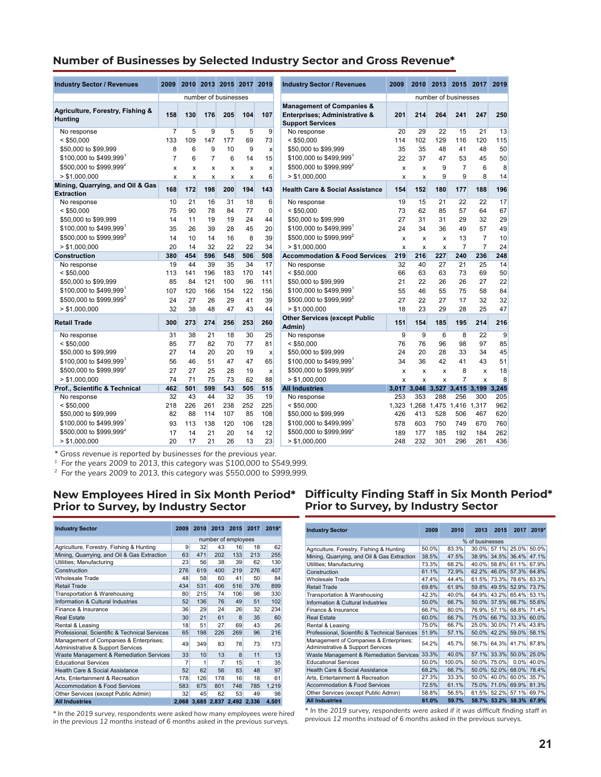#### **Number of Businesses by Selected Industry Sector and Gross Revenue\***

| <b>Industry Sector / Revenues</b>                              | 2009            |                           |                           |                   | 2010 2013 2015 2017 2019 |                   | <b>Industry Sector / Revenues</b>                                                                | 2009       | 2010                      |                           | 2013 2015 2017                              |                                      | 2019              |
|----------------------------------------------------------------|-----------------|---------------------------|---------------------------|-------------------|--------------------------|-------------------|--------------------------------------------------------------------------------------------------|------------|---------------------------|---------------------------|---------------------------------------------|--------------------------------------|-------------------|
|                                                                |                 |                           | number of businesses      |                   |                          |                   |                                                                                                  |            |                           |                           | number of businesses                        |                                      |                   |
| Agriculture, Forestry, Fishing &<br>Huntina                    | 158             | 130                       | 176                       | 205               | 104                      | 107               | <b>Management of Companies &amp;</b><br>Enterprises; Administrative &<br><b>Support Services</b> | 201        | 214                       | 264                       | 241                                         | 247                                  | 250               |
| No response                                                    | $\overline{7}$  | 5                         | 9                         | 5                 | 5                        | 9                 | No response                                                                                      | 20         | 29                        | 22                        | 15                                          | 21                                   | 13                |
| $<$ \$50.000                                                   | 133             | 109                       | 147                       | 177               | 69                       | 73                | $<$ \$50.000                                                                                     | 114        | 102                       | 129                       | 116                                         | 120                                  | 115               |
| \$50,000 to \$99,999                                           | 8               | 6                         | 9                         | 10                | 9                        | $\boldsymbol{x}$  | \$50,000 to \$99,999                                                                             | 35         | 35                        | 48                        | 41                                          | 48                                   | 50                |
| \$100,000 to \$499,999                                         | $\overline{7}$  | 6                         | $\overline{7}$            | 6                 | 14                       | 15                | \$100,000 to \$499,999                                                                           | 22         | 37                        | 47                        | 53                                          | 45                                   | 50                |
| \$500,000 to \$999,999 <sup>2</sup>                            | X               | $\boldsymbol{\mathsf{x}}$ | X                         | X                 | x                        | X                 | \$500,000 to \$999,999 <sup>2</sup>                                                              | x          | X                         | 9                         | $\overline{7}$                              | 6                                    | 8                 |
| > \$1,000,000                                                  | X               | X                         | $\boldsymbol{\mathsf{x}}$ | x                 | X                        | 6                 | > \$1,000,000                                                                                    | x          | $\boldsymbol{\mathsf{x}}$ | 9                         | 9                                           | 8                                    | 14                |
| Mining, Quarrying, and Oil & Gas<br><b>Extraction</b>          | 168             | 172                       | 198                       | 200               | 194                      | 143               | <b>Health Care &amp; Social Assistance</b>                                                       | 154        | 152                       | 180                       | 177                                         | 188                                  | 196               |
| No response                                                    | 10              | 21                        | 16                        | 31                | 18                       | 6                 | No response                                                                                      | 19         | 15                        | 21                        | 22                                          | 22                                   | 17                |
| $<$ \$50,000                                                   | 75              | 90                        | 78                        | 84                | 77                       | 0                 | $<$ \$50,000                                                                                     | 73         | 62                        | 85                        | 57                                          | 64                                   | 67                |
| \$50,000 to \$99,999                                           | 14              | 11                        | 19                        | 19                | 24                       | 44                | \$50,000 to \$99,999                                                                             | 27         | 31                        | 31                        | 29                                          | 32                                   | 29                |
| \$100,000 to \$499,999                                         | 35              | 26                        | 39                        | 28                | 45                       | 20                | \$100,000 to \$499,999                                                                           | 24         | 34                        | 36                        | 49                                          | 57                                   | 49                |
| \$500,000 to \$999,999 <sup>2</sup>                            | 14              | 10                        | 14                        | 16                | 8                        | 39                | \$500,000 to \$999,999 <sup>2</sup>                                                              | x          | $\boldsymbol{\mathsf{x}}$ | x                         | 13                                          | $\overline{7}$                       | 10                |
| > \$1,000,000                                                  | 20              | 14                        | 32                        | 22                | 22                       | 34                | > \$1.000.000                                                                                    | X          | X                         | $\boldsymbol{\mathsf{x}}$ | $\overline{7}$                              | $\overline{7}$                       | 24                |
| <b>Construction</b>                                            | 380             | 454                       | 596                       | 548               | 506                      | 508               | <b>Accommodation &amp; Food Services</b>                                                         | 219        | 216                       | 227                       | 240                                         | 236                                  | 248               |
| No response                                                    | 19              | 44                        | 39                        | 35                | 34                       | 17                | No response                                                                                      | 32         | 40                        | 27                        | 21                                          | 25                                   | 14                |
| $<$ \$50,000                                                   | 113             | 141                       | 196                       | 183               | 170                      | 141               | $<$ \$50,000                                                                                     | 66         | 63                        | 63                        | 73                                          | 69                                   | 50                |
| \$50,000 to \$99,999                                           | 85              | 84                        | 121                       | 100               | 96                       | 111               | \$50,000 to \$99,999                                                                             | 21         | 22                        | 26                        | 26                                          | 27                                   | 22                |
| \$100,000 to \$499,999                                         | 107             | 120                       | 166                       | 154               | 122                      | 156               | \$100,000 to \$499,999                                                                           | 55         | 46                        | 55                        | 75                                          | 58                                   | 84                |
| \$500,000 to \$999,999 <sup>2</sup>                            | 24              | 27                        | 26                        | 29                | 41                       | 39                | \$500,000 to \$999,999 <sup>2</sup>                                                              | 27         | 22                        | 27                        | 17                                          | 32                                   | 32                |
| > \$1,000,000                                                  | 32              | 38                        | 48                        | 47                | 43                       | 44                | > \$1,000,000                                                                                    | 18         | 23                        | 29                        | 28                                          | 25                                   | 47                |
| <b>Retail Trade</b>                                            | 300             | 273                       | 274                       | 256               | 253                      | 260               | <b>Other Services (except Public</b><br>Admin)                                                   | 151        | 154                       | 185                       | 195                                         | 214                                  | 216               |
| No response                                                    | 31              | 38                        | 21                        | 18                | 30                       | 25                | No response                                                                                      | 9          | 9                         | 6                         | 8                                           | 22                                   | 9                 |
| $<$ \$50.000                                                   | 85              | 77                        | 82                        | 70                | 77                       | 81                | $<$ \$50,000                                                                                     | 76         | 76                        | 96                        | 98                                          | 97                                   | 85                |
| \$50,000 to \$99,999                                           | 27              | 14                        | 20                        | 20                | 19                       | X                 | \$50,000 to \$99,999                                                                             | 24         | 20                        | 28                        | 33                                          | 34                                   | 45                |
| \$100,000 to \$499,999                                         | 56              | 46                        | 51                        | 47                | 47                       | 65                | \$100,000 to \$499,999                                                                           | 34         | 36                        | 42                        | 41                                          | 43                                   | 51                |
| \$500,000 to \$999,999 <sup>2</sup>                            | 27              | 27                        | 25                        | 28                | 19                       | X                 | \$500,000 to \$999,999 <sup>2</sup>                                                              | x          | X                         | x                         | 8                                           | X                                    | 18                |
| > \$1,000,000                                                  | 74              | 71                        | 75                        | 73                | 62                       | 88                | > \$1.000.000                                                                                    | X          | $\boldsymbol{\mathsf{x}}$ | X                         | $\overline{7}$                              | $\mathsf{x}$                         | 8                 |
| Prof., Scientific & Technical<br>No response                   | 462<br>32       | 501<br>43                 | 599<br>44                 | 543<br>32         | 505<br>35                | 515<br>19         | <b>All Industries</b><br>No response                                                             | 253        | 353                       | 288                       | 256                                         | 3,017 3,046 3,527 3,415 3,199<br>300 | 3.245<br>205      |
| $<$ \$50,000<br>\$50,000 to \$99,999<br>\$100,000 to \$499,999 | 218<br>82<br>93 | 226<br>88<br>113          | 261<br>114<br>138         | 238<br>107<br>120 | 252<br>85<br>106         | 225<br>108<br>128 | $<$ \$50,000<br>\$50,000 to \$99,999<br>\$100,000 to \$499,999                                   | 426<br>578 | 413<br>603                | 528<br>750                | 1,323 1,268 1,475 1,416 1,317<br>506<br>749 | 467<br>670                           | 962<br>620<br>760 |
| \$500,000 to \$999,999 <sup>2</sup>                            | 17              | 14                        | 21                        | 20                | 14                       | 12                | \$500,000 to \$999,999 <sup>2</sup>                                                              | 189        | 177                       | 185                       | 192                                         | 184                                  | 262               |
| > \$1,000,000                                                  | 20              | 17                        | 21                        | 26                | 13                       | 23                | > \$1,000,000                                                                                    | 248        | 232                       | 301                       | 296                                         | 261                                  | 436               |

| dustry Sector / Revenues                                                                                                                        | 2009                                 |                                                 | 2010 2013 2015 2017 2019                                     |                                     |                                    |                                                                | 2009<br><b>Industry Sector / Revenues</b>                                                                                             |                                   |                                                   | 2010 2013 2015 2017                           |                                            |                                        | 2019                                   |
|-------------------------------------------------------------------------------------------------------------------------------------------------|--------------------------------------|-------------------------------------------------|--------------------------------------------------------------|-------------------------------------|------------------------------------|----------------------------------------------------------------|---------------------------------------------------------------------------------------------------------------------------------------|-----------------------------------|---------------------------------------------------|-----------------------------------------------|--------------------------------------------|----------------------------------------|----------------------------------------|
|                                                                                                                                                 |                                      |                                                 | number of businesses                                         |                                     |                                    |                                                                |                                                                                                                                       |                                   |                                                   | number of businesses                          |                                            |                                        |                                        |
| griculture, Forestry, Fishing &<br>unting                                                                                                       | 158                                  | 130                                             | 176                                                          | 205                                 | 104                                | 107                                                            | <b>Management of Companies &amp;</b><br>Enterprises; Administrative &<br><b>Support Services</b>                                      | 201                               | 214                                               | 264                                           | 241                                        | 247                                    | 250                                    |
| No response<br>$<$ \$50,000<br>\$50,000 to \$99,999<br>$$100,000$ to $$499,999$<br>$$500,000$ to $$999,999^2$                                   | $\overline{7}$<br>133<br>8<br>7<br>X | 5<br>109<br>6<br>6<br>$\boldsymbol{\mathsf{x}}$ | 9<br>147<br>9<br>$\overline{7}$<br>$\boldsymbol{\mathsf{x}}$ | 5<br>177<br>10<br>6<br>x            | 5<br>69<br>9<br>14<br>x            | 9<br>73<br>$\boldsymbol{x}$<br>15<br>$\boldsymbol{\mathsf{x}}$ | No response<br>$<$ \$50,000<br>\$50,000 to \$99,999<br>\$100,000 to \$499,999<br>\$500,000 to \$999,999 <sup>2</sup>                  | 20<br>114<br>35<br>22<br>x        | 29<br>102<br>35<br>37<br>X                        | 22<br>129<br>48<br>47<br>9                    | 15<br>116<br>41<br>53<br>$\overline{7}$    | 21<br>120<br>48<br>45<br>6             | 13<br>115<br>50<br>50<br>8             |
| > \$1,000,000<br>ining, Quarrying, and Oil & Gas                                                                                                | X<br>168                             | $\boldsymbol{\mathsf{x}}$<br>172                | X<br>198                                                     | x<br>200                            | x<br>194                           | 6<br>143                                                       | > \$1.000.000<br><b>Health Care &amp; Social Assistance</b>                                                                           | x<br>154                          | X<br>152                                          | 9<br>180                                      | 9<br>177                                   | 8<br>188                               | 14<br>196                              |
| xtraction<br>No response<br>$<$ \$50.000<br>\$50,000 to \$99,999<br>$$100,000$ to $$499,999$<br>\$500,000 to \$999,999 <sup>2</sup>             | 10<br>75<br>14<br>35<br>14           | 21<br>90<br>11<br>26<br>10                      | 16<br>78<br>19<br>39<br>14                                   | 31<br>84<br>19<br>28<br>16          | 18<br>77<br>24<br>45<br>8          | 6<br>$\overline{0}$<br>44<br>20<br>39                          | No response<br>$<$ \$50.000<br>\$50,000 to \$99,999<br>\$100,000 to \$499,999<br>\$500,000 to \$999,999 <sup>2</sup>                  | 19<br>73<br>27<br>24<br>x         | 15<br>62<br>31<br>34<br>$\boldsymbol{\mathsf{x}}$ | 21<br>85<br>31<br>36<br>x                     | 22<br>57<br>29<br>49<br>13                 | 22<br>64<br>32<br>57<br>$\overline{7}$ | 17<br>67<br>29<br>49<br>10             |
| > \$1,000,000<br>onstruction                                                                                                                    | 20<br>380                            | 14<br>454                                       | 32<br>596                                                    | 22<br>548                           | 22<br>506                          | 34<br>508                                                      | > \$1.000.000<br><b>Accommodation &amp; Food Services</b>                                                                             | x<br>219                          | $\boldsymbol{\mathsf{x}}$<br>216                  | x<br>227                                      | $\overline{7}$<br>240                      | $\overline{7}$<br>236                  | 24<br>248                              |
| No response<br>$<$ \$50.000<br>\$50,000 to \$99,999<br>\$100,000 to \$499,999 '<br>$$500,000$ to $$999,999^2$<br>> \$1,000,000                  | 19<br>113<br>85<br>107<br>24<br>32   | 44<br>141<br>84<br>120<br>27<br>38              | 39<br>196<br>121<br>166<br>26<br>48                          | 35<br>183<br>100<br>154<br>29<br>47 | 34<br>170<br>96<br>122<br>41<br>43 | 17<br>141<br>111<br>156<br>39<br>44                            | No response<br>$<$ \$50,000<br>\$50,000 to \$99,999<br>\$100,000 to \$499,999<br>\$500,000 to \$999,999 <sup>2</sup><br>> \$1,000,000 | 32<br>66<br>21<br>55<br>27<br>18  | 40<br>63<br>22<br>46<br>22<br>23                  | 27<br>63<br>26<br>55<br>27<br>29              | 21<br>73<br>26<br>75<br>17<br>28           | 25<br>69<br>27<br>58<br>32<br>25       | 14<br>50<br>22<br>84<br>32<br>47       |
| etail Trade                                                                                                                                     | 300                                  | 273                                             | 274                                                          | 256                                 | 253                                | 260                                                            | <b>Other Services (except Public</b><br>Admin)                                                                                        | 151                               | 154                                               | 185                                           | 195                                        | 214                                    | 216                                    |
| No response<br>$<$ \$50,000<br>\$50,000 to \$99,999<br>$$100,000$ to $$499,999$<br>$$500,000$ to $$999,999^2$<br>> \$1,000,000                  | 31<br>85<br>27<br>56<br>27<br>74     | 38<br>77<br>14<br>46<br>27<br>71                | 21<br>82<br>20<br>51<br>25<br>75                             | 18<br>70<br>20<br>47<br>28<br>73    | 30<br>77<br>19<br>47<br>19<br>62   | 25<br>81<br>$\boldsymbol{x}$<br>65<br>$\mathsf{x}$<br>88       | No response<br>$<$ \$50,000<br>\$50,000 to \$99,999<br>\$100,000 to \$499,999<br>\$500,000 to \$999,999 <sup>2</sup><br>> \$1.000.000 | 9<br>76<br>24<br>34<br>x<br>x     | 9<br>76<br>20<br>36<br>X                          | 6<br>96<br>28<br>42<br>x<br>x                 | 8<br>98<br>33<br>41<br>8<br>$\overline{7}$ | 22<br>97<br>34<br>43<br>x<br>x         | 9<br>85<br>45<br>51<br>18<br>8         |
| rof., Scientific & Technical                                                                                                                    | 462                                  | 501                                             | 599                                                          | 543                                 | 505                                | 515                                                            | <b>All Industries</b>                                                                                                                 |                                   | x                                                 | 3,017 3,046 3,527 3,415 3,199 3,245           |                                            |                                        |                                        |
| No response<br>$<$ \$50,000<br>\$50,000 to \$99,999<br>$$100,000$ to $\$499,999^\textnormal{\texttt{+}}$<br>\$500,000 to \$999,999 <sup>2</sup> | 32<br>218<br>82<br>93<br>17          | 43<br>226<br>88<br>113<br>14                    | 44<br>261<br>114<br>138<br>21                                | 32<br>238<br>107<br>120<br>20       | 35<br>252<br>85<br>106<br>14       | 19<br>225<br>108<br>128<br>12                                  | No response<br>$<$ \$50,000<br>\$50,000 to \$99,999<br>\$100,000 to \$499,999<br>\$500,000 to \$999,999 <sup>2</sup>                  | 253<br>1,323<br>426<br>578<br>189 | 353<br>1,268<br>413<br>603<br>177                 | 288<br>1,475 1,416 1,317<br>528<br>750<br>185 | 256<br>506<br>749<br>192                   | 300<br>467<br>670<br>184               | 205<br>962<br>620<br>760<br>262<br>436 |
| > \$1,000,000                                                                                                                                   | 20                                   | 17                                              | 21                                                           | 26                                  | 13                                 | 23                                                             | > \$1,000,000                                                                                                                         | 248                               | 232                                               | 301                                           | 296                                        | 261                                    |                                        |

*\* Gross revenue is reported by businesses for the previous year.*

*<sup>1</sup> For the years 2009 to 2013, this category was \$100,000 to \$549,999.*

*2 For the years 2009 to 2013, this category was \$550,000 to \$999,999.*

#### **New Employees Hired in Six Month Period\* Prior to Survey, by Industry Sector**

| <b>Industry Sector</b>                                                      | 2009           |     | 2010 2013 | 2015                          | 2017 | 2019* |
|-----------------------------------------------------------------------------|----------------|-----|-----------|-------------------------------|------|-------|
|                                                                             |                |     |           | number of employees           |      |       |
| Agriculture, Forestry, Fishing & Hunting                                    | 9              | 32  | 43        | 16                            | 18   | 62    |
| Mining, Quarrying, and Oil & Gas Extraction                                 | 63             | 471 | 202       | 133                           | 213  | 255   |
| Utilities; Manufacturing                                                    | 23             | 56  | 38        | 39                            | 62   | 130   |
| Construction                                                                | 276            | 619 | 400       | 219                           | 276  | 407   |
| Wholesale Trade                                                             | 48             | 58  | 60        | 41                            | 50   | 84    |
| Retail Trade                                                                | 434            | 531 | 406       | 516                           | 376  | 899   |
| Transportation & Warehousing                                                | 80             | 215 | 74        | 106                           | 98   | 330   |
| Information & Cultural Industries                                           | 52             | 136 | 76        | 49                            | 51   | 102   |
| Finance & Insurance                                                         | 36             | 29  | 24        | 26                            | 32   | 234   |
| <b>Real Estate</b>                                                          | 30             | 21  | 61        | $\mathsf{R}$                  | 35   | 60    |
| Rental & Leasing                                                            | 18             | 51  | 27        | 69                            | 43   | 26    |
| Professional, Scientific & Technical Services                               | 65             | 198 | 226       | 269                           | 96   | 216   |
| Management of Companies & Enterprises;<br>Administrative & Support Services | 49             | 349 | 83        | 78                            | 73   | 173   |
| Waste Management & Remediation Services                                     | 33             | 10  | 13        | 8                             | 11   | 13    |
| <b>Educational Services</b>                                                 | $\overline{7}$ | 1   | 7         | 15                            | 1    | 35    |
| Health Care & Social Assistance                                             | 52             | 62  | 56        | 83                            | 48   | 97    |
| Arts, Entertainment & Recreation                                            | 178            | 126 | 178       | 16                            | 18   | 61    |
| <b>Accommodation &amp; Food Services</b>                                    | 583            | 675 | 801       | 748                           | 785  | 1.219 |
| Other Services (except Public Admin)                                        | 32             | 45  | 62        | 53                            | 49   | 98    |
| <b>All Industries</b>                                                       |                |     |           | 2,068 3,685 2,837 2,492 2,336 |      | 4,501 |

*\* In the 2019 survey, respondents were asked how many employees were hired in the previous 12 months instead of 6 months asked in the previous surveys.*

#### **Difficulty Finding Staff in Six Month Period\* Prior to Survey, by Industry Sector**

| <b>Industry Sector</b>                                                      | 2009  | 2010     | 2013            | 2015              | 2017                    | $2019*$ |
|-----------------------------------------------------------------------------|-------|----------|-----------------|-------------------|-------------------------|---------|
|                                                                             |       |          | % of businesses |                   |                         |         |
| Agriculture, Forestry, Fishing & Hunting                                    | 50.0% | 83.3%    |                 |                   | 30.0% 57.1% 25.0%       | 50.0%   |
| Mining, Quarrying, and Oil & Gas Extraction                                 | 38.5% | 47.5%    |                 |                   | 38.9% 34.5% 36.4%       | 47.1%   |
| Utilities; Manufacturing                                                    | 73.3% | 68.2%    |                 | 40.0% 58.8%       | 61.1%                   | 67.9%   |
| Construction                                                                | 61.1% | 72.9%    |                 |                   | 62.2% 46.0% 57.3%       | 64.8%   |
| Wholesale Trade                                                             | 47.4% | 44.4%    |                 |                   | 61.5% 73.3% 78.6% 83.3% |         |
| Retail Trade                                                                | 69.8% | 61.9%    |                 |                   | 59.8% 49.5% 52.9%       | 73.7%   |
| Transportation & Warehousing                                                | 42.3% | 40.0%    |                 |                   | 64.9% 43.2% 65.4% 53.1% |         |
| Information & Cultural Industries                                           | 50.0% | 66.7%    |                 |                   | 50.0% 37.5% 66.7%       | 55.6%   |
| Finance & Insurance                                                         | 66.7% | $80.0\%$ |                 |                   | 76.9% 57.1% 68.8%       | 71.4%   |
| Real Estate                                                                 | 60.0% | 66.7%    |                 |                   | 75.0% 66.7% 33.3%       | 60.0%   |
| Rental & Leasing                                                            | 75.0% | 66.7%    |                 |                   | 25.0% 30.0% 71.4%       | 43.8%   |
| Professional, Scientific & Technical Services                               | 51.9% | 57.1%    |                 | 50.0% 42.2% 59.0% |                         | 58.1%   |
| Management of Companies & Enterprises;<br>Administrative & Support Services | 54.2% | 45.7%    |                 |                   | 56.7% 64.3% 41.7% 87.8% |         |
| Waste Management & Remediation Services                                     | 33.3% | 40.0%    |                 |                   | 57.1% 33.3% 50.0%       | 25.0%   |
| <b>Educational Services</b>                                                 | 50.0% | 100.0%   |                 | 50.0% 75.0%       | $0.0\%$                 | 40.0%   |
| Health Care & Social Assistance                                             | 68.2% | 66.7%    |                 | 50.0% 52.0%       | 68.0%                   | 78.4%   |
| Arts. Entertainment & Recreation                                            | 27.3% | 33.3%    |                 |                   | 50.0% 40.0% 60.0%       | 35.7%   |
| Accommodation & Food Services                                               | 72.5% | 61.1%    |                 | 75.0% 71.0%       | 69.9%                   | 81.3%   |
| Other Services (except Public Admin)                                        | 58.8% | 56.5%    |                 |                   | 61.5% 52.2% 57.1% 69.7% |         |
| <b>All Industries</b>                                                       | 61.0% | 59.7%    |                 | 58.7% 53.2% 58.3% |                         | 67.9%   |

*\* In the 2019 survey, respondents were asked if it was difficult finding staff in previous 12 months instead of 6 months asked in the previous surveys.*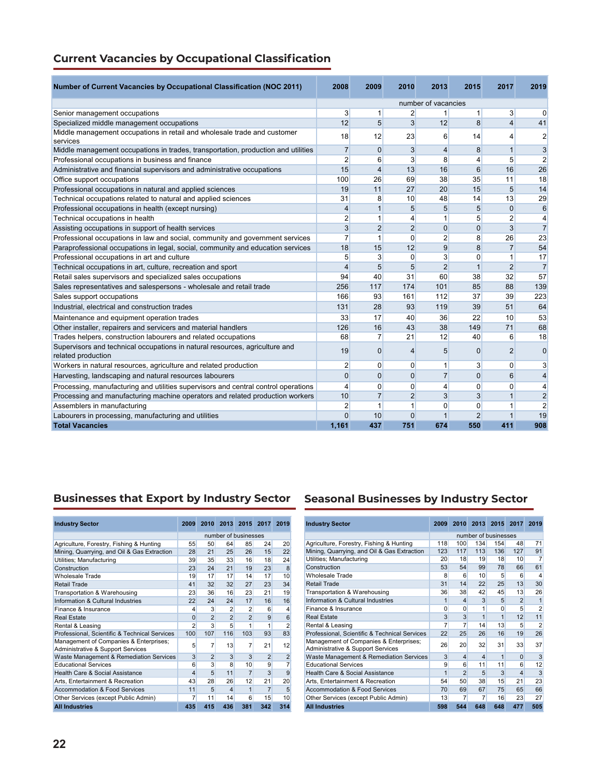| Number of Current Vacancies by Occupational Classification (NOC 2011)                             | 2008                    | 2009           | 2010           | 2013                    | 2015           | 2017           | 2019           |
|---------------------------------------------------------------------------------------------------|-------------------------|----------------|----------------|-------------------------|----------------|----------------|----------------|
|                                                                                                   |                         |                |                | number of vacancies     |                |                |                |
| Senior management occupations                                                                     | $\mathbf{3}$            | 1              | $\overline{2}$ |                         | 1              | $\mathbf{3}$   | $\Omega$       |
| Specialized middle management occupations                                                         | 12                      | 5              | 3              | 12                      | 8              | $\overline{4}$ | 41             |
| Middle management occupations in retail and wholesale trade and customer                          | 18                      | 12             | 23             | 6                       | 14             | $\overline{4}$ | 2              |
| services                                                                                          |                         |                |                |                         |                |                |                |
| Middle management occupations in trades, transportation, production and utilities                 | $\overline{7}$          | $\Omega$       | 3              | $\overline{\mathbf{4}}$ | 8              | $\mathbf{1}$   | 3              |
| Professional occupations in business and finance                                                  | $\overline{2}$          | 6              | 3              | 8                       | $\overline{4}$ | 5              | $\overline{2}$ |
| Administrative and financial supervisors and administrative occupations                           | 15                      | $\overline{4}$ | 13             | 16                      | 6              | 16             | 26             |
| Office support occupations                                                                        | 100                     | 26             | 69             | 38                      | 35             | 11             | 18             |
| Professional occupations in natural and applied sciences                                          | 19                      | 11             | 27             | 20                      | 15             | 5              | 14             |
| Technical occupations related to natural and applied sciences                                     | 31                      | 8              | 10             | 48                      | 14             | 13             | 29             |
| Professional occupations in health (except nursing)                                               | $\overline{4}$          | $\mathbf{1}$   | 5              | 5                       | 5              | $\mathbf{0}$   | 6              |
| Technical occupations in health                                                                   | $\overline{2}$          | 1              | 4              | 1                       | 5              | $\overline{2}$ | 4              |
| Assisting occupations in support of health services                                               | $\overline{3}$          | $\overline{2}$ | $\overline{2}$ | $\mathbf{0}$            | $\mathbf{0}$   | 3              | $\overline{7}$ |
| Professional occupations in law and social, community and government services                     | $\overline{7}$          | 1              | $\mathbf{0}$   | $\overline{2}$          | 8              | 26             | 23             |
| Paraprofessional occupations in legal, social, community and education services                   | 18                      | 15             | 12             | 9                       | 8              | $\overline{7}$ | 54             |
| Professional occupations in art and culture                                                       | 5                       | 3              | 0              | 3                       | $\mathbf 0$    | $\mathbf{1}$   | 17             |
| Technical occupations in art, culture, recreation and sport                                       | $\overline{\mathbf{4}}$ | 5              | 5              | $\overline{2}$          | $\mathbf{1}$   | $\overline{2}$ | $\overline{7}$ |
| Retail sales supervisors and specialized sales occupations                                        | 94                      | 40             | 31             | 60                      | 38             | 32             | 57             |
| Sales representatives and salespersons - wholesale and retail trade                               | 256                     | 117            | 174            | 101                     | 85             | 88             | 139            |
| Sales support occupations                                                                         | 166                     | 93             | 161            | 112                     | 37             | 39             | 223            |
| Industrial, electrical and construction trades                                                    | 131                     | 28             | 93             | 119                     | 39             | 51             | 64             |
| Maintenance and equipment operation trades                                                        | 33                      | 17             | 40             | 36                      | 22             | 10             | 53             |
| Other installer, repairers and servicers and material handlers                                    | 126                     | 16             | 43             | 38                      | 149            | 71             | 68             |
| Trades helpers, construction labourers and related occupations                                    | 68                      | $\overline{7}$ | 21             | 12                      | 40             | 6              | 18             |
| Supervisors and technical occupations in natural resources, agriculture and<br>related production | 19                      | 0              | 4              | 5                       | $\mathbf{0}$   | $\overline{2}$ | $\mathbf 0$    |
| Workers in natural resources, agriculture and related production                                  | 2                       | $\Omega$       | $\mathbf{0}$   | 1                       | 3              | $\mathbf{0}$   | 3              |
| Harvesting, landscaping and natural resources labourers                                           | 0                       | $\Omega$       | $\mathbf{0}$   | $\overline{7}$          | $\mathbf{0}$   | 6              | 4              |
| Processing, manufacturing and utilities supervisors and central control operations                | 4                       | $\Omega$       | $\mathbf{0}$   | 4                       | $\mathbf 0$    | $\mathbf{0}$   | 4              |
| Processing and manufacturing machine operators and related production workers                     | 10                      | $\overline{7}$ | $\overline{2}$ | 3                       | 3              | $\mathbf{1}$   | $\overline{2}$ |
| Assemblers in manufacturing                                                                       | $\overline{c}$          | 1              | $\mathbf{1}$   | 0                       | $\mathbf 0$    |                | $\overline{2}$ |
| Labourers in processing, manufacturing and utilities                                              | $\mathbf{0}$            | 10             | $\Omega$       |                         | $\overline{2}$ |                | 19             |
| <b>Total Vacancies</b>                                                                            | 1,161                   | 437            | 751            | 674                     | 550            | 411            | 908            |

# **Businesses that Export by Industry Sector Seasonal Businesses by Industry Sector**

| <b>Industry Sector</b>                                                      | 2009           | 2010           | 2013           | 2015                 | 2017           | 2019           |
|-----------------------------------------------------------------------------|----------------|----------------|----------------|----------------------|----------------|----------------|
|                                                                             |                |                |                | number of businesses |                |                |
| Agriculture, Forestry, Fishing & Hunting                                    | 55             | 50             | 64             | 85                   | 24             | 20             |
| Mining, Quarrying, and Oil & Gas Extraction                                 | 28             | 21             | 25             | 26                   | 15             | 22             |
| Utilities; Manufacturing                                                    | 39             | 35             | 33             | 16                   | 18             | 24             |
| Construction                                                                | 23             | 24             | 21             | 19                   | 23             | 8              |
| <b>Wholesale Trade</b>                                                      | 19             | 17             | 17             | 14                   | 17             | 10             |
| <b>Retail Trade</b>                                                         | 41             | 32             | 32             | 27                   | 23             | 34             |
| Transportation & Warehousing                                                | 23             | 36             | 16             | 23                   | 21             | 19             |
| Information & Cultural Industries                                           | 22             | 24             | 24             | 17                   | 16             | 16             |
| Finance & Insurance                                                         | 4              | 3              | $\overline{2}$ | $\overline{2}$       | 6              | 4              |
| <b>Real Estate</b>                                                          | $\Omega$       | $\overline{2}$ | $\overline{2}$ | $\overline{2}$       | 9              | 6              |
| Rental & Leasing                                                            | $\overline{2}$ | 3              | 5              | 1                    | 1              | $\overline{2}$ |
| Professional, Scientific & Technical Services                               | 100            | 107            | 116            | 103                  | 93             | 83             |
| Management of Companies & Enterprises;<br>Administrative & Support Services | 5              | 7              | 13             | 7                    | 21             | 12             |
| Waste Management & Remediation Services                                     | 3              | $\overline{2}$ | 3              | 3                    | $\overline{2}$ | $\overline{2}$ |
| <b>Educational Services</b>                                                 | 6              | 3              | 8              | 10                   | 9              | 7              |
| Health Care & Social Assistance                                             | 4              | 5              | 11             | $\overline{7}$       | 3              | 9              |
| Arts, Entertainment & Recreation                                            | 43             | 28             | 26             | 12                   | 21             | 20             |
| <b>Accommodation &amp; Food Services</b>                                    | 11             | 5              | 4              | 1                    | $\overline{7}$ | 5              |
| Other Services (except Public Admin)                                        | 7              | 11             | 14             | 6                    | 15             | 10             |
| <b>All Industries</b>                                                       | 435            | 415            | 436            | 381                  | 342            | 314            |

| <b>Industry Sector</b>                                                      | 2009           |                |                |                      | 2010 2013 2015 2017 | 2019           |
|-----------------------------------------------------------------------------|----------------|----------------|----------------|----------------------|---------------------|----------------|
|                                                                             |                |                |                | number of businesses |                     |                |
| Agriculture, Forestry, Fishing & Hunting                                    | 118            | 100            | 134            | 154                  | 48                  | 71             |
| Mining, Quarrying, and Oil & Gas Extraction                                 | 123            | 117            | 113            | 136                  | 127                 | 91             |
| Utilities; Manufacturing                                                    | 20             | 18             | 19             | 18                   | 10                  | 7              |
| Construction                                                                | 53             | 54             | 99             | 78                   | 66                  | 61             |
| <b>Wholesale Trade</b>                                                      | 8              | 6              | 10             | 5                    | 6                   | 4              |
| <b>Retail Trade</b>                                                         | 31             | 14             | 22             | 25                   | 13                  | 30             |
| Transportation & Warehousing                                                | 36             | 38             | 42             | 45                   | 13                  | 26             |
| Information & Cultural Industries                                           | 1              | $\overline{4}$ | 3              | 5                    | $\overline{2}$      | 1              |
| Finance & Insurance                                                         | $\Omega$       | $\Omega$       | 1              | $\Omega$             | 5                   | $\overline{2}$ |
| <b>Real Estate</b>                                                          | 3              | 3              | 1              | 1                    | 12                  | 11             |
| Rental & Leasing                                                            | $\overline{7}$ | 7              | 14             | 13                   | 5                   | $\overline{2}$ |
| Professional, Scientific & Technical Services                               | 22             | 25             | 26             | 16                   | 19                  | 26             |
| Management of Companies & Enterprises;<br>Administrative & Support Services | 26             | 20             | 32             | 31                   | 33                  | 37             |
| Waste Management & Remediation Services                                     | 3              | $\overline{4}$ | $\overline{4}$ | 1                    | $\Omega$            | 3              |
| <b>Educational Services</b>                                                 | 9              | 6              | 11             | 11                   | 6                   | 12             |
| Health Care & Social Assistance                                             | 1              | $\overline{2}$ | 5              | 3                    | 4                   | 3              |
| Arts, Entertainment & Recreation                                            | 54             | 50             | 38             | 15                   | 21                  | 23             |
| <b>Accommodation &amp; Food Services</b>                                    | 70             | 69             | 67             | 75                   | 65                  | 66             |
| Other Services (except Public Admin)                                        | 13             | 7              | 7              | 16                   | 23                  | 27             |
| <b>All Industries</b>                                                       | 598            | 544            | 648            | 648                  | 477                 | 505            |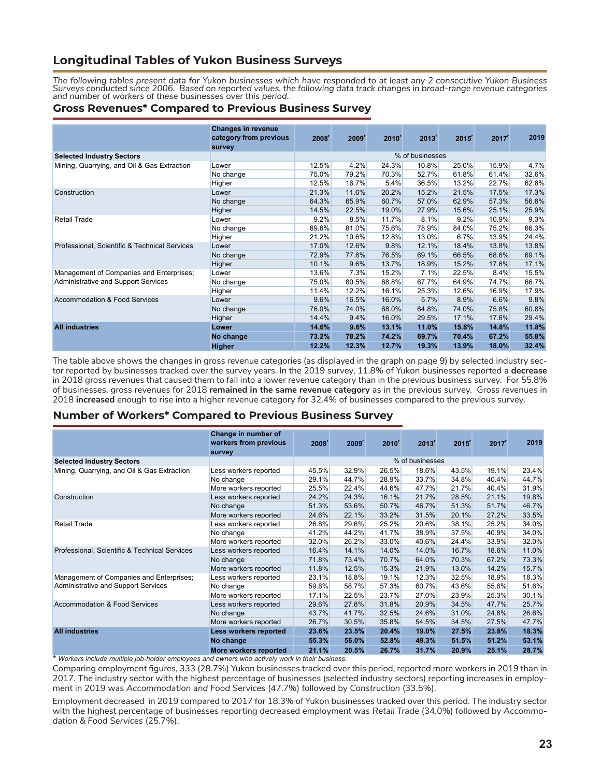## **Longitudinal Tables of Yukon Business Surveys**

*The following tables present data for Yukon businesses which have responded to at least any 2 consecutive Yukon Business Surveys conducted since 2006. Based on reported values, the following data track changes in broad-range revenue categories and number of workers of these businesses over this period.* 

#### **Gross Revenues\* Compared to Previous Business Survey**

|                                               | <b>Changes in revenue</b><br>category from previous<br>survey | 2008 <sup>r</sup> | 2009 <sup>r</sup> | $2010^r$ | 2013 <sup>r</sup> | 2015 <sup>r</sup> | 2017 <sup>r</sup> | 2019  |
|-----------------------------------------------|---------------------------------------------------------------|-------------------|-------------------|----------|-------------------|-------------------|-------------------|-------|
| <b>Selected Industry Sectors</b>              |                                                               |                   |                   |          | % of businesses   |                   |                   |       |
| Mining, Quarrying, and Oil & Gas Extraction   | Lower                                                         | 12.5%             | 4.2%              | 24.3%    | 10.8%             | 25.0%             | 15.9%             | 4.7%  |
|                                               | No change                                                     | 75.0%             | 79.2%             | 70.3%    | 52.7%             | 61.8%             | 61.4%             | 32.6% |
|                                               | Higher                                                        | 12.5%             | 16.7%             | 5.4%     | 36.5%             | 13.2%             | 22.7%             | 62.8% |
| Construction                                  | Lower                                                         | 21.3%             | 11.6%             | 20.2%    | 15.2%             | 21.5%             | 17.5%             | 17.3% |
|                                               | No change                                                     | 64.3%             | 65.9%             | 60.7%    | 57.0%             | 62.9%             | 57.3%             | 56.8% |
|                                               | Higher                                                        | 14.5%             | 22.5%             | 19.0%    | 27.9%             | 15.6%             | 25.1%             | 25.9% |
| <b>Retail Trade</b>                           | Lower                                                         | 9.2%              | 8.5%              | 11.7%    | 8.1%              | 9.2%              | 10.9%             | 9.3%  |
|                                               | No change                                                     | 69.6%             | 81.0%             | 75.6%    | 78.9%             | 84.0%             | 75.2%             | 66.3% |
|                                               | Higher                                                        | 21.2%             | 10.6%             | 12.8%    | 13.0%             | 6.7%              | 13.9%             | 24.4% |
| Professional, Scientific & Technical Services | Lower                                                         | 17.0%             | 12.6%             | 9.8%     | 12.1%             | 18.4%             | 13.8%             | 13.8% |
|                                               | No change                                                     | 72.9%             | 77.8%             | 76.5%    | 69.1%             | 66.5%             | 68.6%             | 69.1% |
|                                               | Higher                                                        | 10.1%             | 9.6%              | 13.7%    | 18.9%             | 15.2%             | 17.6%             | 17.1% |
| Management of Companies and Enterprises;      | Lower                                                         | 13.6%             | 7.3%              | 15.2%    | 7.1%              | 22.5%             | 8.4%              | 15.5% |
| Administrative and Support Services           | No change                                                     | 75.0%             | 80.5%             | 68.8%    | 67.7%             | 64.9%             | 74.7%             | 66.7% |
|                                               | Higher                                                        | 11.4%             | 12.2%             | 16.1%    | 25.3%             | 12.6%             | 16.9%             | 17.9% |
| Accommodation & Food Services                 | Lower                                                         | 9.6%              | 16.5%             | 16.0%    | 5.7%              | 8.9%              | 6.6%              | 9.8%  |
|                                               | No change                                                     | 76.0%             | 74.0%             | 68.0%    | 64.8%             | 74.0%             | 75.8%             | 60.8% |
|                                               | Higher                                                        | 14.4%             | 9.4%              | 16.0%    | 29.5%             | 17.1%             | 17.6%             | 29.4% |
| <b>All industries</b>                         | Lower                                                         | 14.6%             | 9.6%              | 13.1%    | 11.0%             | 15.8%             | 14.8%             | 11.8% |
|                                               | No change                                                     | 73.2%             | 78.2%             | 74.2%    | 69.7%             | 70.4%             | 67.2%             | 55.8% |
|                                               | <b>Higher</b>                                                 | 12.2%             | 12.3%             | 12.7%    | 19.3%             | 13.9%             | 18.0%             | 32.4% |

The table above shows the changes in gross revenue categories (as displayed in the graph on page 9) by selected industry sector reported by businesses tracked over the survey years. In the 2019 survey, 11.8% of Yukon businesses reported a **decrease** in 2018 gross revenues that caused them to fall into a lower revenue category than in the previous business survey. For 55.8% of businesses, gross revenues for 2018 **remained in the same revenue category** as in the previous survey. Gross revenues in 2018 **increased** enough to rise into a higher revenue category for 32.4% of businesses compared to the previous survey.

#### **Number of Workers\* Compared to Previous Business Survey**

|                                               | Change in number of<br>workers from previous<br><b>survey</b> | 2008 <sup>r</sup> | 2009 <sup>r</sup> | $2010^r$ | 2013 <sup>r</sup> | $2015$ <sup>r</sup> | 2017 <sup>r</sup> | 2019  |
|-----------------------------------------------|---------------------------------------------------------------|-------------------|-------------------|----------|-------------------|---------------------|-------------------|-------|
| <b>Selected Industry Sectors</b>              |                                                               |                   |                   |          | % of businesses   |                     |                   |       |
| Mining, Quarrying, and Oil & Gas Extraction   | Less workers reported                                         | 45.5%             | 32.9%             | 26.5%    | 18.6%             | 43.5%               | 19.1%             | 23.4% |
|                                               | No change                                                     | 29.1%             | 44.7%             | 28.9%    | 33.7%             | 34.8%               | 40.4%             | 44.7% |
|                                               | More workers reported                                         | 25.5%             | 22.4%             | 44.6%    | 47.7%             | 21.7%               | 40.4%             | 31.9% |
| Construction                                  | Less workers reported                                         | 24.2%             | 24.3%             | 16.1%    | 21.7%             | 28.5%               | 21.1%             | 19.8% |
|                                               | No change                                                     | 51.3%             | 53.6%             | 50.7%    | 46.7%             | 51.3%               | 51.7%             | 46.7% |
|                                               | More workers reported                                         | 24.6%             | 22.1%             | 33.2%    | 31.5%             | 20.1%               | 27.2%             | 33.5% |
| <b>Retail Trade</b>                           | Less workers reported                                         | 26.8%             | 29.6%             | 25.2%    | 20.6%             | 38.1%               | 25.2%             | 34.0% |
|                                               | No change                                                     | 41.2%             | 44.2%             | 41.7%    | 38.9%             | 37.5%               | 40.9%             | 34.0% |
|                                               | More workers reported                                         | <b>32.0%</b>      | 26.2%             | 33.0%    | 40.6%             | 24.4%               | 33.9%             | 32.0% |
| Professional, Scientific & Technical Services | Less workers reported                                         | 16.4%             | 14.1%             | 14.0%    | 14.0%             | 16.7%               | 18.6%             | 11.0% |
|                                               | No change                                                     | 71.8%             | 73.4%             | 70.7%    | 64.0%             | 70.3%               | 67.2%             | 73.3% |
|                                               | More workers reported                                         | 11.8%             | 12.5%             | 15.3%    | 21.9%             | 13.0%               | 14.2%             | 15.7% |
| Management of Companies and Enterprises;      | Less workers reported                                         | 23.1%             | 18.8%             | 19.1%    | 12.3%             | 32.5%               | 18.9%             | 18.3% |
| Administrative and Support Services           | No change                                                     | 59.8%             | 58.7%             | 57.3%    | 60.7%             | 43.6%               | 55.8%             | 51.6% |
|                                               | More workers reported                                         | 17.1%             | 22.5%             | 23.7%    | 27.0%             | 23.9%               | 25.3%             | 30.1% |
| Accommodation & Food Services                 | Less workers reported                                         | 29.6%             | 27.8%             | 31.8%    | 20.9%             | 34.5%               | 47.7%             | 25.7% |
|                                               | No change                                                     | 43.7%             | 41.7%             | 32.5%    | 24.6%             | 31.0%               | 24.8%             | 26.6% |
|                                               | More workers reported                                         | 26.7%             | 30.5%             | 35.8%    | 54.5%             | 34.5%               | 27.5%             | 47.7% |
| <b>All industries</b>                         | Less workers reported                                         | 23.6%             | 23.5%             | 20.4%    | 19.0%             | 27.5%               | 23.8%             | 18.3% |
|                                               | No change                                                     | 55.3%             | 56.0%             | 52.8%    | 49.3%             | 51.5%               | 51.2%             | 53.1% |
| .                                             | More workers reported                                         | 21.1%             | 20.5%             | 26.7%    | 31.7%             | 20.9%               | 25.1%             | 28.7% |

**\*** *Workers include multiple job-holder employees and owners who actively work in their business.*

Comparing employment figures, 333 (28.7%) Yukon businesses tracked over this period, reported more workers in 2019 than in 2017. The industry sector with the highest percentage of businesses (selected industry sectors) reporting increases in employment in 2019 was *Accommodation and Food Services* (47.7%) followed by *Construction* (33.5%).

Employment decreased in 2019 compared to 2017 for 18.3% of Yukon businesses tracked over this period. The industry sector with the highest percentage of businesses reporting decreased employment was *Retail Trade* (34.0%) followed by *Accommodation & Food Services* (25.7%).